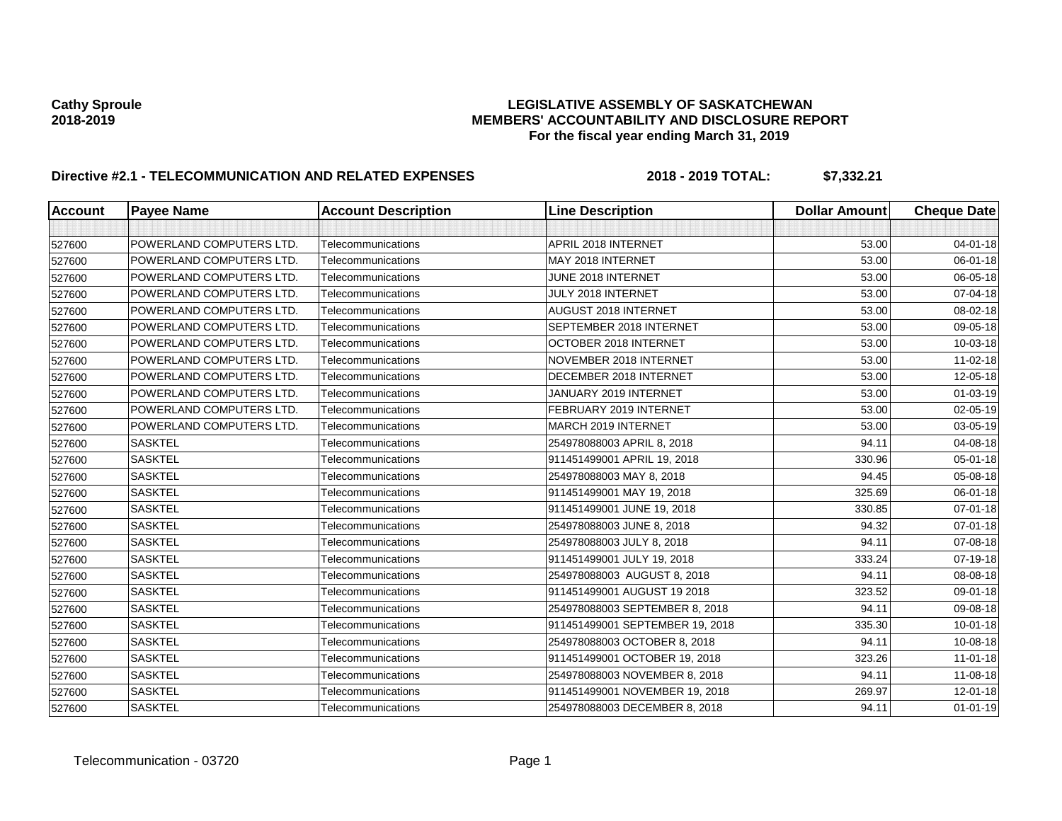| <b>Account</b> | <b>Payee Name</b>        | <b>Account Description</b> | <b>Line Description</b>         | <b>Dollar Amount</b> | <b>Cheque Date</b> |
|----------------|--------------------------|----------------------------|---------------------------------|----------------------|--------------------|
|                |                          |                            |                                 |                      |                    |
| 527600         | POWERLAND COMPUTERS LTD. | Telecommunications         | APRIL 2018 INTERNET             | 53.00                | $04 - 01 - 18$     |
| 527600         | POWERLAND COMPUTERS LTD. | Telecommunications         | MAY 2018 INTERNET               | 53.00                | 06-01-18           |
| 527600         | POWERLAND COMPUTERS LTD. | Telecommunications         | JUNE 2018 INTERNET              | 53.00                | 06-05-18           |
| 527600         | POWERLAND COMPUTERS LTD. | Telecommunications         | JULY 2018 INTERNET              | 53.00                | 07-04-18           |
| 527600         | POWERLAND COMPUTERS LTD. | Telecommunications         | AUGUST 2018 INTERNET            | 53.00                | 08-02-18           |
| 527600         | POWERLAND COMPUTERS LTD. | Telecommunications         | SEPTEMBER 2018 INTERNET         | 53.00                | 09-05-18           |
| 527600         | POWERLAND COMPUTERS LTD. | Telecommunications         | OCTOBER 2018 INTERNET           | 53.00                | 10-03-18           |
| 527600         | POWERLAND COMPUTERS LTD. | Telecommunications         | NOVEMBER 2018 INTERNET          | 53.00                | 11-02-18           |
| 527600         | POWERLAND COMPUTERS LTD. | Telecommunications         | DECEMBER 2018 INTERNET          | 53.00                | 12-05-18           |
| 527600         | POWERLAND COMPUTERS LTD. | Telecommunications         | JANUARY 2019 INTERNET           | 53.00                | 01-03-19           |
| 527600         | POWERLAND COMPUTERS LTD. | Telecommunications         | FEBRUARY 2019 INTERNET          | 53.00                | 02-05-19           |
| 527600         | POWERLAND COMPUTERS LTD. | Telecommunications         | <b>MARCH 2019 INTERNET</b>      | 53.00                | 03-05-19           |
| 527600         | <b>SASKTEL</b>           | Telecommunications         | 254978088003 APRIL 8, 2018      | 94.11                | 04-08-18           |
| 527600         | <b>SASKTEL</b>           | Telecommunications         | 911451499001 APRIL 19, 2018     | 330.96               | 05-01-18           |
| 527600         | <b>SASKTEL</b>           | Telecommunications         | 254978088003 MAY 8, 2018        | 94.45                | 05-08-18           |
| 527600         | <b>SASKTEL</b>           | Telecommunications         | 911451499001 MAY 19, 2018       | 325.69               | 06-01-18           |
| 527600         | <b>SASKTEL</b>           | Telecommunications         | 911451499001 JUNE 19, 2018      | 330.85               | 07-01-18           |
| 527600         | <b>SASKTEL</b>           | Telecommunications         | 254978088003 JUNE 8, 2018       | 94.32                | $07 - 01 - 18$     |
| 527600         | <b>SASKTEL</b>           | Telecommunications         | 254978088003 JULY 8, 2018       | 94.11                | 07-08-18           |
| 527600         | <b>SASKTEL</b>           | Telecommunications         | 911451499001 JULY 19, 2018      | 333.24               | 07-19-18           |
| 527600         | <b>SASKTEL</b>           | Telecommunications         | 254978088003 AUGUST 8, 2018     | 94.11                | 08-08-18           |
| 527600         | <b>SASKTEL</b>           | Telecommunications         | 911451499001 AUGUST 19 2018     | 323.52               | 09-01-18           |
| 527600         | <b>SASKTEL</b>           | Telecommunications         | 254978088003 SEPTEMBER 8, 2018  | 94.11                | 09-08-18           |
| 527600         | <b>SASKTEL</b>           | Telecommunications         | 911451499001 SEPTEMBER 19, 2018 | 335.30               | $10 - 01 - 18$     |
| 527600         | <b>SASKTEL</b>           | Telecommunications         | 254978088003 OCTOBER 8, 2018    | 94.11                | 10-08-18           |
| 527600         | <b>SASKTEL</b>           | Telecommunications         | 911451499001 OCTOBER 19, 2018   | 323.26               | $11 - 01 - 18$     |
| 527600         | <b>SASKTEL</b>           | Telecommunications         | 254978088003 NOVEMBER 8, 2018   | 94.11                | 11-08-18           |
| 527600         | <b>SASKTEL</b>           | Telecommunications         | 911451499001 NOVEMBER 19, 2018  | 269.97               | 12-01-18           |
| 527600         | <b>SASKTEL</b>           | Telecommunications         | 254978088003 DECEMBER 8, 2018   | 94.11                | $01 - 01 - 19$     |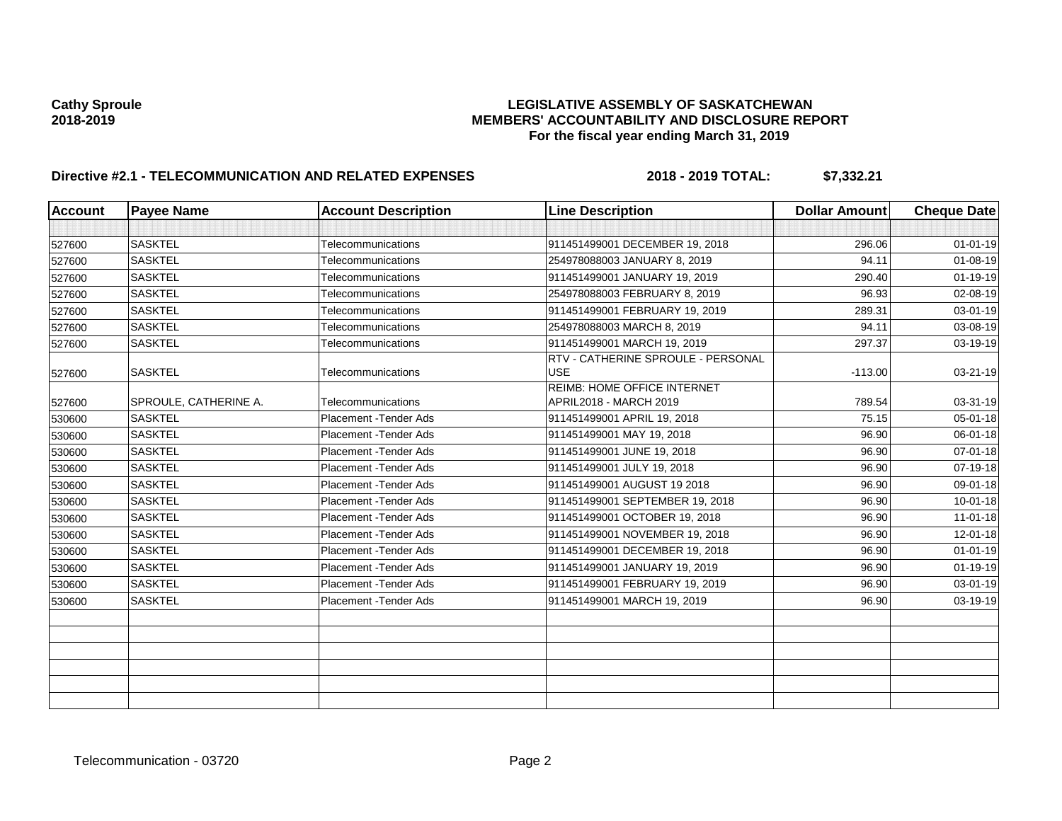| <b>Account</b> | <b>Payee Name</b>     | <b>Account Description</b> | <b>Line Description</b>                                      | <b>Dollar Amount</b> | <b>Cheque Date</b> |
|----------------|-----------------------|----------------------------|--------------------------------------------------------------|----------------------|--------------------|
|                |                       |                            |                                                              |                      |                    |
| 527600         | <b>SASKTEL</b>        | Telecommunications         | 911451499001 DECEMBER 19, 2018                               | 296.06               | $01 - 01 - 19$     |
| 527600         | <b>SASKTEL</b>        | Telecommunications         | 254978088003 JANUARY 8, 2019                                 | 94.11                | $01 - 08 - 19$     |
| 527600         | <b>SASKTEL</b>        | Telecommunications         | 911451499001 JANUARY 19, 2019                                | 290.40               | $01 - 19 - 19$     |
| 527600         | <b>SASKTEL</b>        | Telecommunications         | 254978088003 FEBRUARY 8, 2019                                | 96.93                | 02-08-19           |
| 527600         | <b>SASKTEL</b>        | Telecommunications         | 911451499001 FEBRUARY 19, 2019                               | 289.31               | 03-01-19           |
| 527600         | <b>SASKTEL</b>        | Telecommunications         | 254978088003 MARCH 8, 2019                                   | 94.11                | 03-08-19           |
| 527600         | <b>SASKTEL</b>        | Telecommunications         | 911451499001 MARCH 19, 2019                                  | 297.37               | 03-19-19           |
| 527600         | <b>SASKTEL</b>        | Telecommunications         | RTV - CATHERINE SPROULE - PERSONAL<br><b>USE</b>             | $-113.00$            | 03-21-19           |
| 527600         | SPROULE, CATHERINE A. | Telecommunications         | <b>REIMB: HOME OFFICE INTERNET</b><br>APRIL2018 - MARCH 2019 | 789.54               | 03-31-19           |
| 530600         | <b>SASKTEL</b>        | Placement - Tender Ads     | 911451499001 APRIL 19, 2018                                  | 75.15                | 05-01-18           |
| 530600         | <b>SASKTEL</b>        | Placement - Tender Ads     | 911451499001 MAY 19, 2018                                    | 96.90                | 06-01-18           |
| 530600         | <b>SASKTEL</b>        | Placement - Tender Ads     | 911451499001 JUNE 19, 2018                                   | 96.90                | 07-01-18           |
| 530600         | <b>SASKTEL</b>        | Placement - Tender Ads     | 911451499001 JULY 19, 2018                                   | 96.90                | 07-19-18           |
| 530600         | <b>SASKTEL</b>        | Placement - Tender Ads     | 911451499001 AUGUST 19 2018                                  | 96.90                | 09-01-18           |
| 530600         | <b>SASKTEL</b>        | Placement - Tender Ads     | 911451499001 SEPTEMBER 19, 2018                              | 96.90                | $10 - 01 - 18$     |
| 530600         | <b>SASKTEL</b>        | Placement - Tender Ads     | 911451499001 OCTOBER 19, 2018                                | 96.90                | $11 - 01 - 18$     |
| 530600         | <b>SASKTEL</b>        | Placement - Tender Ads     | 911451499001 NOVEMBER 19, 2018                               | 96.90                | 12-01-18           |
| 530600         | <b>SASKTEL</b>        | Placement - Tender Ads     | 911451499001 DECEMBER 19, 2018                               | 96.90                | $01 - 01 - 19$     |
| 530600         | <b>SASKTEL</b>        | Placement - Tender Ads     | 911451499001 JANUARY 19, 2019                                | 96.90                | $01 - 19 - 19$     |
| 530600         | <b>SASKTEL</b>        | Placement - Tender Ads     | 911451499001 FEBRUARY 19, 2019                               | 96.90                | $03 - 01 - 19$     |
| 530600         | <b>SASKTEL</b>        | Placement - Tender Ads     | 911451499001 MARCH 19, 2019                                  | 96.90                | 03-19-19           |
|                |                       |                            |                                                              |                      |                    |
|                |                       |                            |                                                              |                      |                    |
|                |                       |                            |                                                              |                      |                    |
|                |                       |                            |                                                              |                      |                    |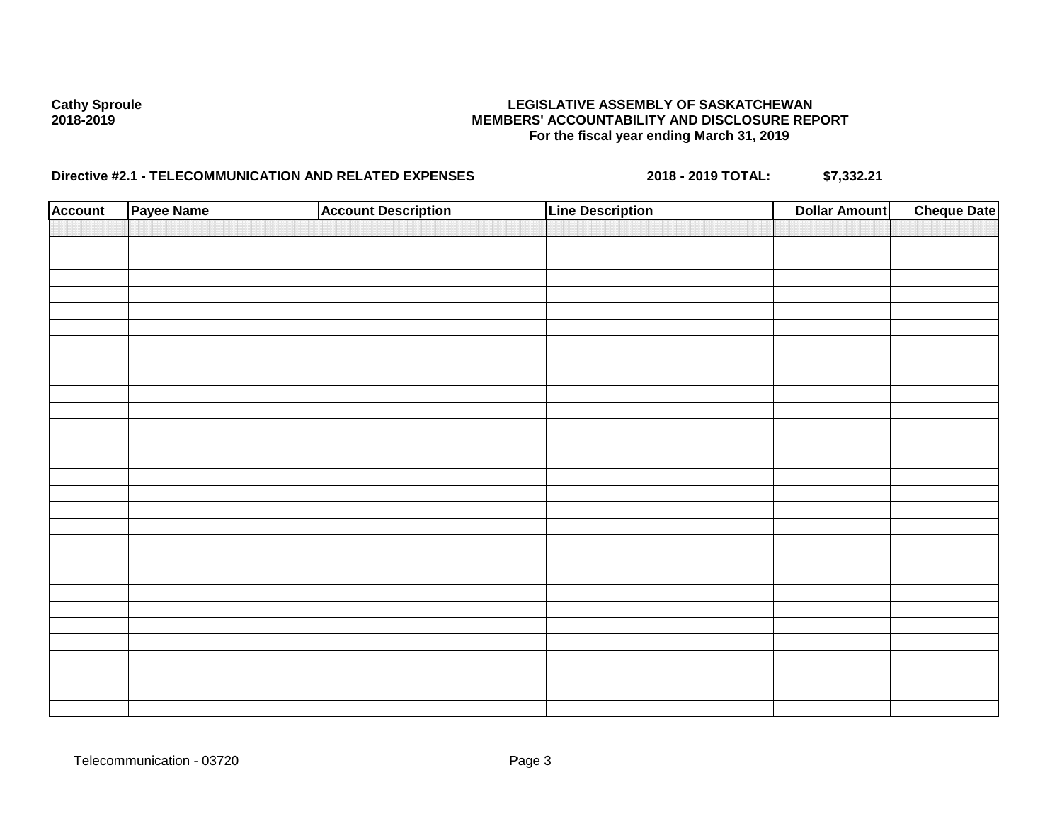| <b>Account</b> | Payee Name | <b>Account Description</b> | <b>Line Description</b> | <b>Dollar Amount</b> | <b>Cheque Date</b> |
|----------------|------------|----------------------------|-------------------------|----------------------|--------------------|
|                |            |                            |                         |                      |                    |
|                |            |                            |                         |                      |                    |
|                |            |                            |                         |                      |                    |
|                |            |                            |                         |                      |                    |
|                |            |                            |                         |                      |                    |
|                |            |                            |                         |                      |                    |
|                |            |                            |                         |                      |                    |
|                |            |                            |                         |                      |                    |
|                |            |                            |                         |                      |                    |
|                |            |                            |                         |                      |                    |
|                |            |                            |                         |                      |                    |
|                |            |                            |                         |                      |                    |
|                |            |                            |                         |                      |                    |
|                |            |                            |                         |                      |                    |
|                |            |                            |                         |                      |                    |
|                |            |                            |                         |                      |                    |
|                |            |                            |                         |                      |                    |
|                |            |                            |                         |                      |                    |
|                |            |                            |                         |                      |                    |
|                |            |                            |                         |                      |                    |
|                |            |                            |                         |                      |                    |
|                |            |                            |                         |                      |                    |
|                |            |                            |                         |                      |                    |
|                |            |                            |                         |                      |                    |
|                |            |                            |                         |                      |                    |
|                |            |                            |                         |                      |                    |
|                |            |                            |                         |                      |                    |
|                |            |                            |                         |                      |                    |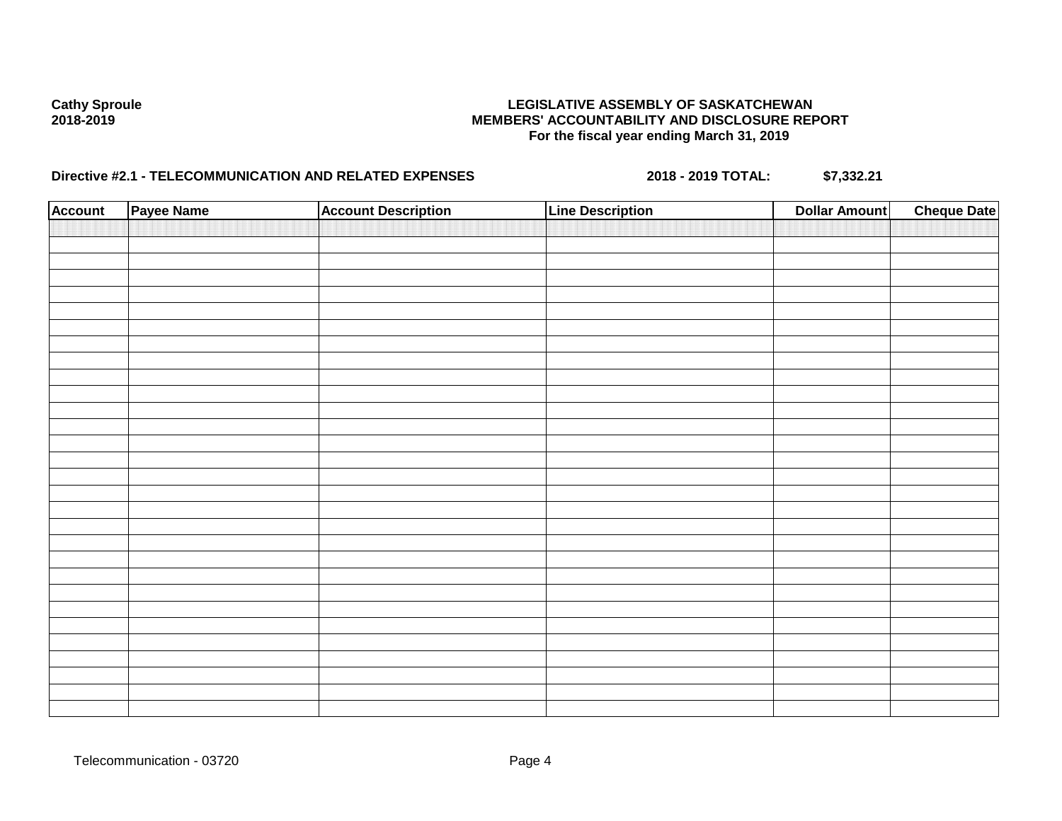| <b>Account</b> | Payee Name | <b>Account Description</b> | <b>Line Description</b> | <b>Dollar Amount</b> | <b>Cheque Date</b> |
|----------------|------------|----------------------------|-------------------------|----------------------|--------------------|
|                |            |                            |                         |                      |                    |
|                |            |                            |                         |                      |                    |
|                |            |                            |                         |                      |                    |
|                |            |                            |                         |                      |                    |
|                |            |                            |                         |                      |                    |
|                |            |                            |                         |                      |                    |
|                |            |                            |                         |                      |                    |
|                |            |                            |                         |                      |                    |
|                |            |                            |                         |                      |                    |
|                |            |                            |                         |                      |                    |
|                |            |                            |                         |                      |                    |
|                |            |                            |                         |                      |                    |
|                |            |                            |                         |                      |                    |
|                |            |                            |                         |                      |                    |
|                |            |                            |                         |                      |                    |
|                |            |                            |                         |                      |                    |
|                |            |                            |                         |                      |                    |
|                |            |                            |                         |                      |                    |
|                |            |                            |                         |                      |                    |
|                |            |                            |                         |                      |                    |
|                |            |                            |                         |                      |                    |
|                |            |                            |                         |                      |                    |
|                |            |                            |                         |                      |                    |
|                |            |                            |                         |                      |                    |
|                |            |                            |                         |                      |                    |
|                |            |                            |                         |                      |                    |
|                |            |                            |                         |                      |                    |
|                |            |                            |                         |                      |                    |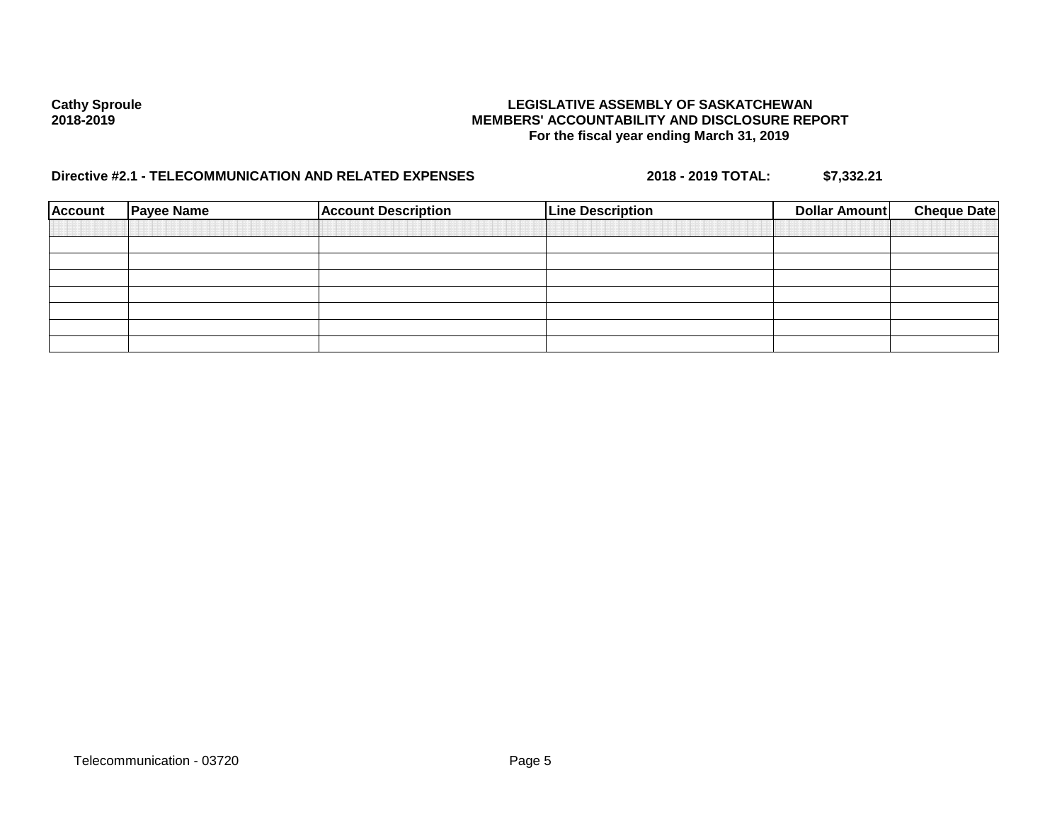| <b>Account</b> | <b>Payee Name</b> | <b>Account Description</b> | <b>Line Description</b> | Dollar Amount | <b>Cheque Date</b> |
|----------------|-------------------|----------------------------|-------------------------|---------------|--------------------|
|                |                   |                            |                         |               |                    |
|                |                   |                            |                         |               |                    |
|                |                   |                            |                         |               |                    |
|                |                   |                            |                         |               |                    |
|                |                   |                            |                         |               |                    |
|                |                   |                            |                         |               |                    |
|                |                   |                            |                         |               |                    |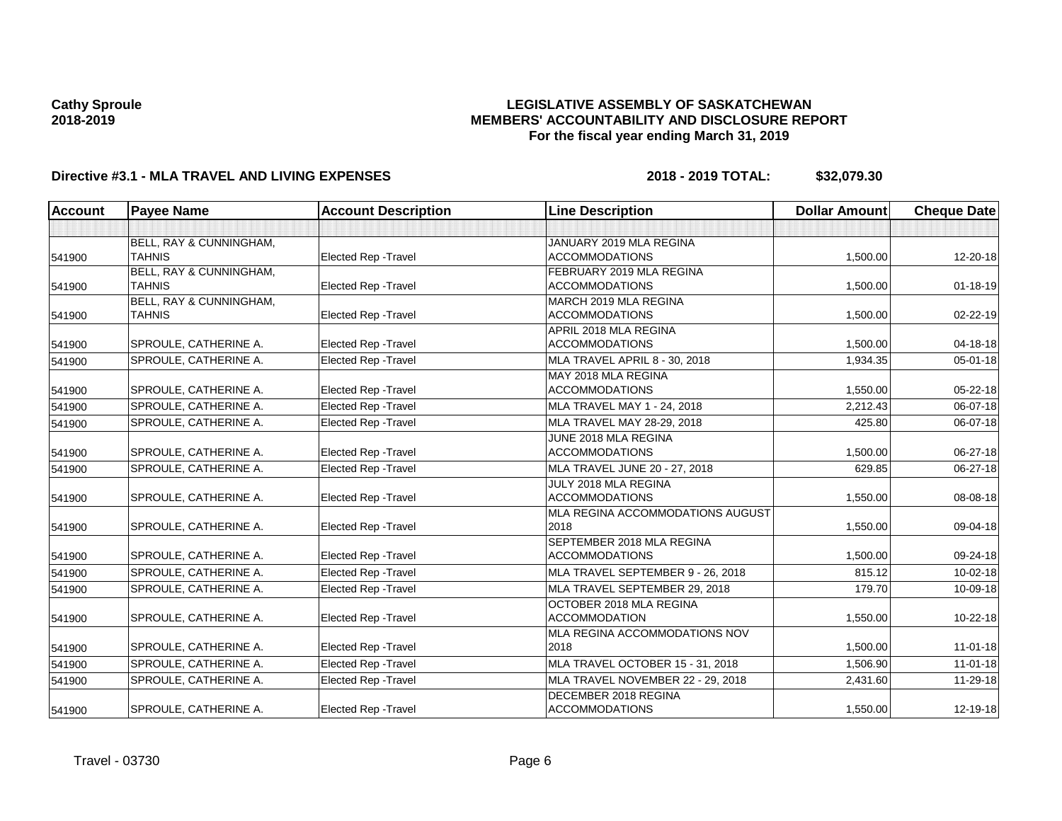## **LEGISLATIVE ASSEMBLY OF SASKATCHEWAN MEMBERS' ACCOUNTABILITY AND DISCLOSURE REPORT For the fiscal year ending March 31, 2019**

| <b>Account</b> | <b>Payee Name</b>                  | <b>Account Description</b>  | <b>Line Description</b>              | <b>Dollar Amount</b> | <b>Cheque Date</b> |
|----------------|------------------------------------|-----------------------------|--------------------------------------|----------------------|--------------------|
|                |                                    |                             |                                      |                      |                    |
|                | <b>BELL, RAY &amp; CUNNINGHAM,</b> |                             | JANUARY 2019 MLA REGINA              |                      |                    |
| 541900         | <b>TAHNIS</b>                      | Elected Rep - Travel        | <b>ACCOMMODATIONS</b>                | 1,500.00             | 12-20-18           |
|                | BELL, RAY & CUNNINGHAM,            |                             | FEBRUARY 2019 MLA REGINA             |                      |                    |
| 541900         | <b>TAHNIS</b>                      | <b>Elected Rep - Travel</b> | <b>ACCOMMODATIONS</b>                | 1,500.00             | $01 - 18 - 19$     |
|                | BELL, RAY & CUNNINGHAM,            |                             | MARCH 2019 MLA REGINA                |                      |                    |
| 541900         | <b>TAHNIS</b>                      | Elected Rep - Travel        | <b>ACCOMMODATIONS</b>                | 1,500.00             | 02-22-19           |
|                |                                    |                             | APRIL 2018 MLA REGINA                |                      |                    |
| 541900         | SPROULE, CATHERINE A.              | <b>Elected Rep - Travel</b> | <b>ACCOMMODATIONS</b>                | 1,500.00             | 04-18-18           |
| 541900         | SPROULE, CATHERINE A.              | Elected Rep - Travel        | MLA TRAVEL APRIL 8 - 30, 2018        | 1,934.35             | 05-01-18           |
|                |                                    |                             | MAY 2018 MLA REGINA                  |                      |                    |
| 541900         | SPROULE, CATHERINE A.              | <b>Elected Rep - Travel</b> | <b>ACCOMMODATIONS</b>                | 1,550.00             | 05-22-18           |
| 541900         | SPROULE, CATHERINE A.              | <b>Elected Rep - Travel</b> | MLA TRAVEL MAY 1 - 24, 2018          | 2,212.43             | 06-07-18           |
| 541900         | SPROULE, CATHERINE A.              | <b>Elected Rep - Travel</b> | MLA TRAVEL MAY 28-29, 2018           | 425.80               | 06-07-18           |
|                |                                    |                             | JUNE 2018 MLA REGINA                 |                      |                    |
| 541900         | SPROULE, CATHERINE A.              | <b>Elected Rep - Travel</b> | <b>ACCOMMODATIONS</b>                | 1,500.00             | 06-27-18           |
| 541900         | SPROULE, CATHERINE A.              | Elected Rep - Travel        | MLA TRAVEL JUNE 20 - 27, 2018        | 629.85               | 06-27-18           |
|                |                                    |                             | JULY 2018 MLA REGINA                 |                      |                    |
| 541900         | SPROULE, CATHERINE A.              | Elected Rep - Travel        | <b>ACCOMMODATIONS</b>                | 1,550.00             | 08-08-18           |
|                |                                    |                             | MLA REGINA ACCOMMODATIONS AUGUST     |                      |                    |
| 541900         | SPROULE, CATHERINE A.              | <b>Elected Rep - Travel</b> | 2018                                 | 1,550.00             | 09-04-18           |
|                |                                    |                             | SEPTEMBER 2018 MLA REGINA            |                      |                    |
| 541900         | SPROULE, CATHERINE A.              | <b>Elected Rep - Travel</b> | <b>ACCOMMODATIONS</b>                | 1,500.00             | 09-24-18           |
| 541900         | SPROULE, CATHERINE A.              | Elected Rep - Travel        | MLA TRAVEL SEPTEMBER 9 - 26, 2018    | 815.12               | 10-02-18           |
| 541900         | SPROULE, CATHERINE A.              | Elected Rep - Travel        | MLA TRAVEL SEPTEMBER 29, 2018        | 179.70               | 10-09-18           |
|                |                                    |                             | OCTOBER 2018 MLA REGINA              |                      |                    |
| 541900         | SPROULE, CATHERINE A.              | Elected Rep - Travel        | <b>ACCOMMODATION</b>                 | 1,550.00             | 10-22-18           |
|                |                                    |                             | <b>MLA REGINA ACCOMMODATIONS NOV</b> |                      |                    |
| 541900         | SPROULE, CATHERINE A.              | <b>Elected Rep - Travel</b> | 2018                                 | 1,500.00             | $11 - 01 - 18$     |
| 541900         | SPROULE, CATHERINE A.              | Elected Rep - Travel        | MLA TRAVEL OCTOBER 15 - 31, 2018     | 1,506.90             | $11-01-18$         |
| 541900         | SPROULE, CATHERINE A.              | <b>Elected Rep - Travel</b> | MLA TRAVEL NOVEMBER 22 - 29, 2018    | 2,431.60             | 11-29-18           |
|                |                                    |                             | DECEMBER 2018 REGINA                 |                      |                    |
| 541900         | SPROULE, CATHERINE A.              | <b>Elected Rep - Travel</b> | <b>ACCOMMODATIONS</b>                | 1,550.00             | 12-19-18           |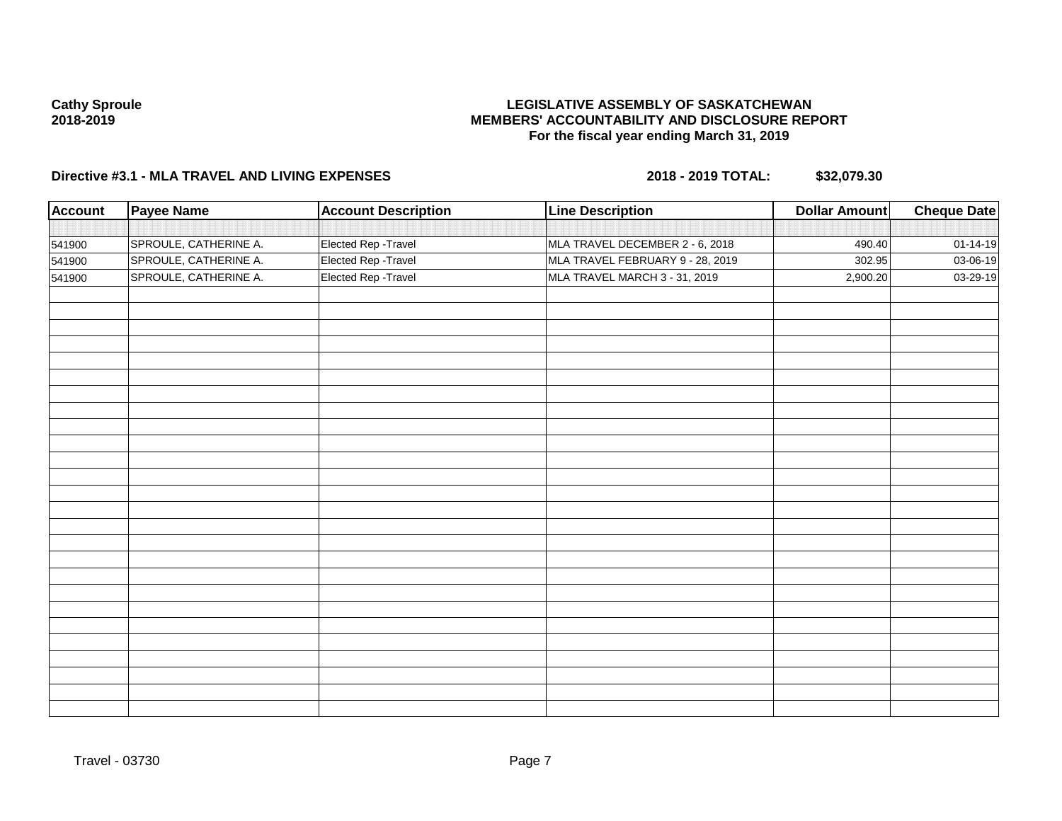## **LEGISLATIVE ASSEMBLY OF SASKATCHEWAN MEMBERS' ACCOUNTABILITY AND DISCLOSURE REPORT For the fiscal year ending March 31, 2019**

| <b>Account</b> | <b>Payee Name</b>     | <b>Account Description</b> | <b>Line Description</b>          | <b>Dollar Amount</b> | <b>Cheque Date</b> |
|----------------|-----------------------|----------------------------|----------------------------------|----------------------|--------------------|
|                |                       |                            |                                  |                      |                    |
| 541900         | SPROULE, CATHERINE A. | Elected Rep - Travel       | MLA TRAVEL DECEMBER 2 - 6, 2018  | 490.40               | $01 - 14 - 19$     |
| 541900         | SPROULE, CATHERINE A. | Elected Rep - Travel       | MLA TRAVEL FEBRUARY 9 - 28, 2019 | 302.95               | 03-06-19           |
| 541900         | SPROULE, CATHERINE A. | Elected Rep - Travel       | MLA TRAVEL MARCH 3 - 31, 2019    | 2,900.20             | 03-29-19           |
|                |                       |                            |                                  |                      |                    |
|                |                       |                            |                                  |                      |                    |
|                |                       |                            |                                  |                      |                    |
|                |                       |                            |                                  |                      |                    |
|                |                       |                            |                                  |                      |                    |
|                |                       |                            |                                  |                      |                    |
|                |                       |                            |                                  |                      |                    |
|                |                       |                            |                                  |                      |                    |
|                |                       |                            |                                  |                      |                    |
|                |                       |                            |                                  |                      |                    |
|                |                       |                            |                                  |                      |                    |
|                |                       |                            |                                  |                      |                    |
|                |                       |                            |                                  |                      |                    |
|                |                       |                            |                                  |                      |                    |
|                |                       |                            |                                  |                      |                    |
|                |                       |                            |                                  |                      |                    |
|                |                       |                            |                                  |                      |                    |
|                |                       |                            |                                  |                      |                    |
|                |                       |                            |                                  |                      |                    |
|                |                       |                            |                                  |                      |                    |
|                |                       |                            |                                  |                      |                    |
|                |                       |                            |                                  |                      |                    |
|                |                       |                            |                                  |                      |                    |
|                |                       |                            |                                  |                      |                    |
|                |                       |                            |                                  |                      |                    |
|                |                       |                            |                                  |                      |                    |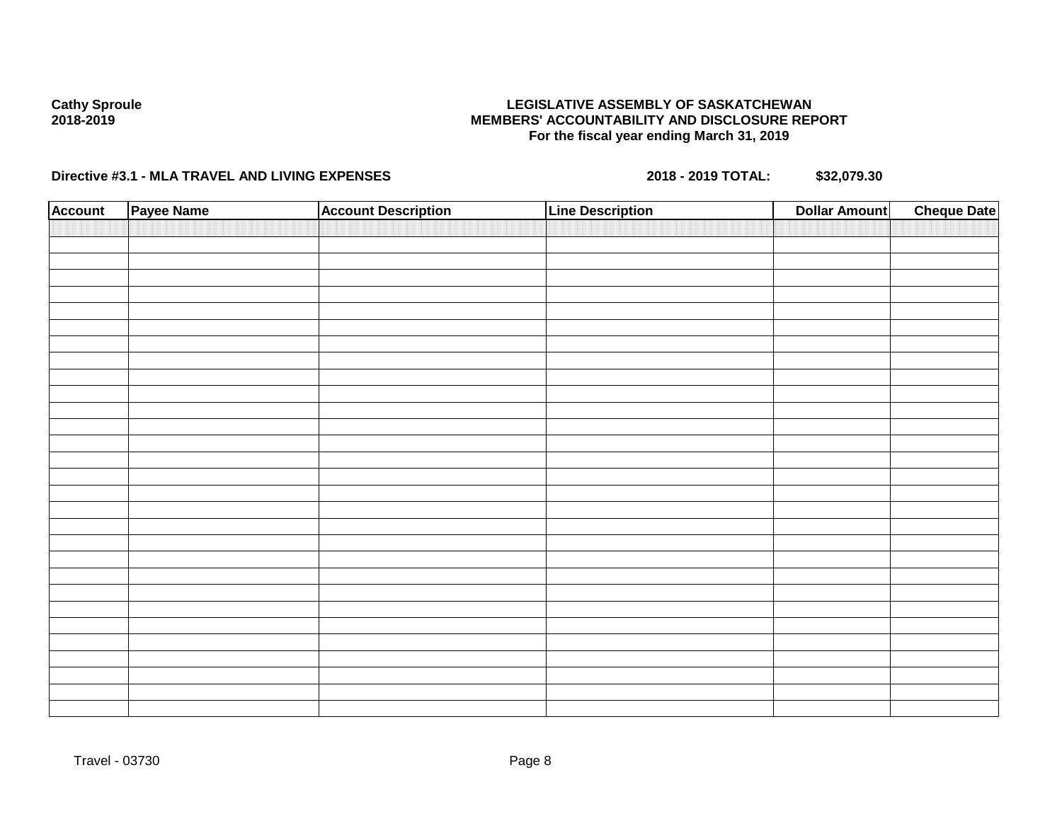## **LEGISLATIVE ASSEMBLY OF SASKATCHEWAN MEMBERS' ACCOUNTABILITY AND DISCLOSURE REPORT For the fiscal year ending March 31, 2019**

| <b>Account</b> | Payee Name | <b>Account Description</b> | <b>Line Description</b> | <b>Cheque Date</b><br><b>Dollar Amount</b> |
|----------------|------------|----------------------------|-------------------------|--------------------------------------------|
|                |            |                            |                         |                                            |
|                |            |                            |                         |                                            |
|                |            |                            |                         |                                            |
|                |            |                            |                         |                                            |
|                |            |                            |                         |                                            |
|                |            |                            |                         |                                            |
|                |            |                            |                         |                                            |
|                |            |                            |                         |                                            |
|                |            |                            |                         |                                            |
|                |            |                            |                         |                                            |
|                |            |                            |                         |                                            |
|                |            |                            |                         |                                            |
|                |            |                            |                         |                                            |
|                |            |                            |                         |                                            |
|                |            |                            |                         |                                            |
|                |            |                            |                         |                                            |
|                |            |                            |                         |                                            |
|                |            |                            |                         |                                            |
|                |            |                            |                         |                                            |
|                |            |                            |                         |                                            |
|                |            |                            |                         |                                            |
|                |            |                            |                         |                                            |
|                |            |                            |                         |                                            |
|                |            |                            |                         |                                            |
|                |            |                            |                         |                                            |
|                |            |                            |                         |                                            |
|                |            |                            |                         |                                            |
|                |            |                            |                         |                                            |
|                |            |                            |                         |                                            |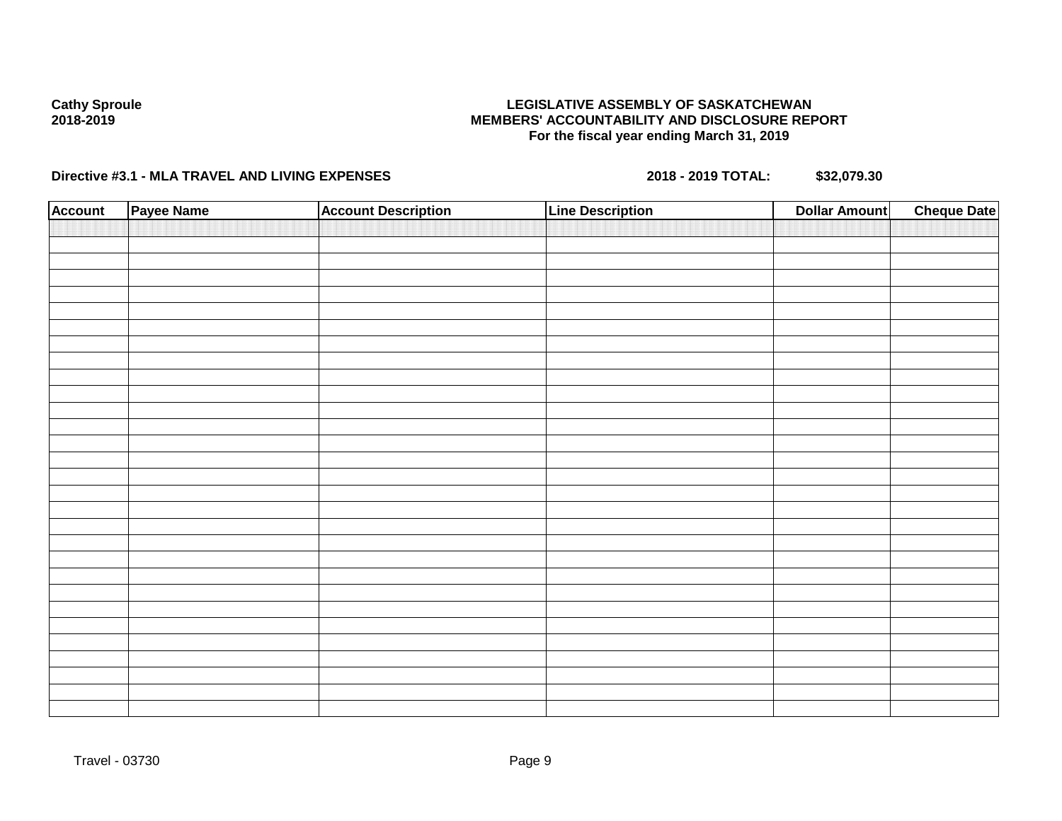## **LEGISLATIVE ASSEMBLY OF SASKATCHEWAN MEMBERS' ACCOUNTABILITY AND DISCLOSURE REPORT For the fiscal year ending March 31, 2019**

| <b>Account</b> | Payee Name | <b>Account Description</b> | <b>Line Description</b> | <b>Cheque Date</b><br><b>Dollar Amount</b> |
|----------------|------------|----------------------------|-------------------------|--------------------------------------------|
|                |            |                            |                         |                                            |
|                |            |                            |                         |                                            |
|                |            |                            |                         |                                            |
|                |            |                            |                         |                                            |
|                |            |                            |                         |                                            |
|                |            |                            |                         |                                            |
|                |            |                            |                         |                                            |
|                |            |                            |                         |                                            |
|                |            |                            |                         |                                            |
|                |            |                            |                         |                                            |
|                |            |                            |                         |                                            |
|                |            |                            |                         |                                            |
|                |            |                            |                         |                                            |
|                |            |                            |                         |                                            |
|                |            |                            |                         |                                            |
|                |            |                            |                         |                                            |
|                |            |                            |                         |                                            |
|                |            |                            |                         |                                            |
|                |            |                            |                         |                                            |
|                |            |                            |                         |                                            |
|                |            |                            |                         |                                            |
|                |            |                            |                         |                                            |
|                |            |                            |                         |                                            |
|                |            |                            |                         |                                            |
|                |            |                            |                         |                                            |
|                |            |                            |                         |                                            |
|                |            |                            |                         |                                            |
|                |            |                            |                         |                                            |
|                |            |                            |                         |                                            |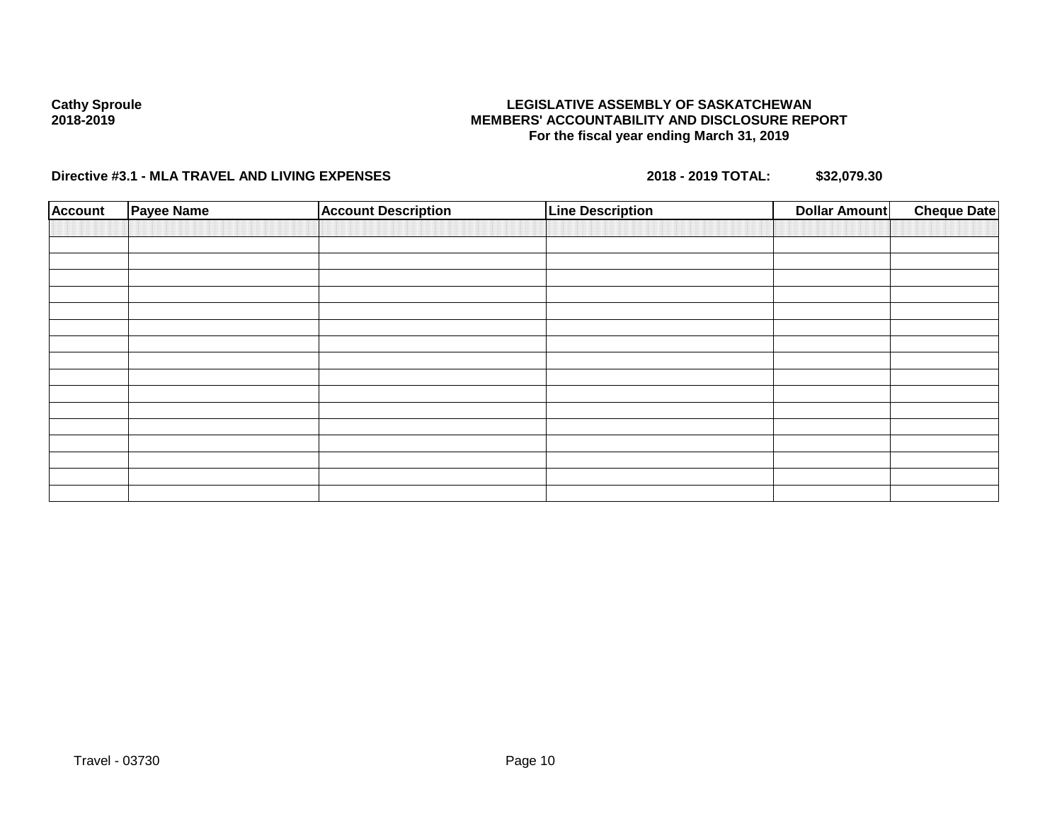## **LEGISLATIVE ASSEMBLY OF SASKATCHEWAN MEMBERS' ACCOUNTABILITY AND DISCLOSURE REPORT For the fiscal year ending March 31, 2019**

| <b>Account</b> | Payee Name | <b>Account Description</b> | <b>Line Description</b> | <b>Dollar Amount</b> | <b>Cheque Date</b> |
|----------------|------------|----------------------------|-------------------------|----------------------|--------------------|
|                |            |                            |                         |                      |                    |
|                |            |                            |                         |                      |                    |
|                |            |                            |                         |                      |                    |
|                |            |                            |                         |                      |                    |
|                |            |                            |                         |                      |                    |
|                |            |                            |                         |                      |                    |
|                |            |                            |                         |                      |                    |
|                |            |                            |                         |                      |                    |
|                |            |                            |                         |                      |                    |
|                |            |                            |                         |                      |                    |
|                |            |                            |                         |                      |                    |
|                |            |                            |                         |                      |                    |
|                |            |                            |                         |                      |                    |
|                |            |                            |                         |                      |                    |
|                |            |                            |                         |                      |                    |
|                |            |                            |                         |                      |                    |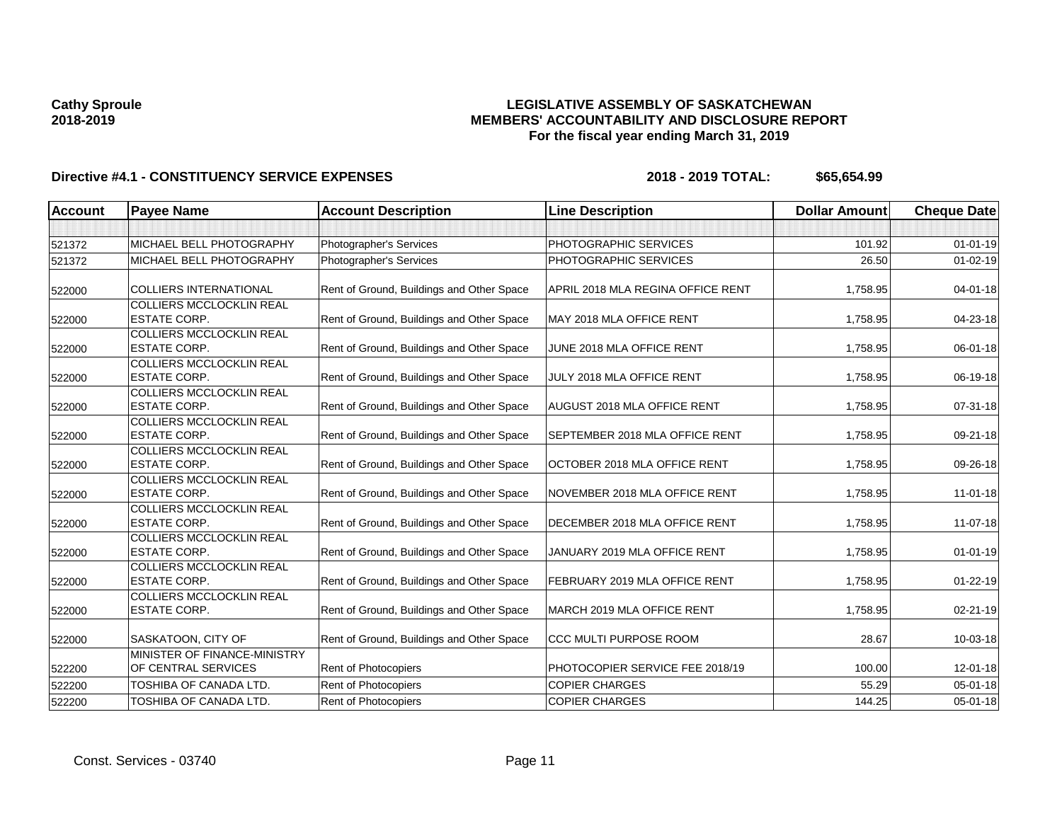## **LEGISLATIVE ASSEMBLY OF SASKATCHEWAN MEMBERS' ACCOUNTABILITY AND DISCLOSURE REPORT For the fiscal year ending March 31, 2019**

| <b>Account</b> | <b>Payee Name</b>                                      | <b>Account Description</b>                | <b>Line Description</b>           | <b>Dollar Amount</b> | <b>Cheque Date</b> |
|----------------|--------------------------------------------------------|-------------------------------------------|-----------------------------------|----------------------|--------------------|
|                |                                                        |                                           |                                   |                      |                    |
| 521372         | MICHAEL BELL PHOTOGRAPHY                               | Photographer's Services                   | PHOTOGRAPHIC SERVICES             | 101.92               | $01 - 01 - 19$     |
| 521372         | MICHAEL BELL PHOTOGRAPHY                               | Photographer's Services                   | PHOTOGRAPHIC SERVICES             | 26.50                | 01-02-19           |
| 522000         | <b>COLLIERS INTERNATIONAL</b>                          | Rent of Ground, Buildings and Other Space | APRIL 2018 MLA REGINA OFFICE RENT | 1,758.95             | 04-01-18           |
| 522000         | COLLIERS MCCLOCKLIN REAL<br><b>ESTATE CORP.</b>        | Rent of Ground, Buildings and Other Space | MAY 2018 MLA OFFICE RENT          | 1,758.95             | 04-23-18           |
| 522000         | <b>COLLIERS MCCLOCKLIN REAL</b><br><b>ESTATE CORP.</b> | Rent of Ground, Buildings and Other Space | JUNE 2018 MLA OFFICE RENT         | 1,758.95             | 06-01-18           |
| 522000         | <b>COLLIERS MCCLOCKLIN REAL</b><br><b>ESTATE CORP.</b> | Rent of Ground, Buildings and Other Space | JULY 2018 MLA OFFICE RENT         | 1,758.95             | 06-19-18           |
| 522000         | <b>COLLIERS MCCLOCKLIN REAL</b><br><b>ESTATE CORP.</b> | Rent of Ground, Buildings and Other Space | AUGUST 2018 MLA OFFICE RENT       | 1,758.95             | 07-31-18           |
| 522000         | <b>COLLIERS MCCLOCKLIN REAL</b><br><b>ESTATE CORP.</b> | Rent of Ground, Buildings and Other Space | SEPTEMBER 2018 MLA OFFICE RENT    | 1,758.95             | 09-21-18           |
| 522000         | <b>COLLIERS MCCLOCKLIN REAL</b><br><b>ESTATE CORP.</b> | Rent of Ground, Buildings and Other Space | OCTOBER 2018 MLA OFFICE RENT      | 1,758.95             | 09-26-18           |
| 522000         | <b>COLLIERS MCCLOCKLIN REAL</b><br><b>ESTATE CORP.</b> | Rent of Ground, Buildings and Other Space | NOVEMBER 2018 MLA OFFICE RENT     | 1,758.95             | $11-01-18$         |
| 522000         | <b>COLLIERS MCCLOCKLIN REAL</b><br><b>ESTATE CORP.</b> | Rent of Ground, Buildings and Other Space | DECEMBER 2018 MLA OFFICE RENT     | 1,758.95             | 11-07-18           |
| 522000         | <b>COLLIERS MCCLOCKLIN REAL</b><br>IESTATE CORP.       | Rent of Ground, Buildings and Other Space | JANUARY 2019 MLA OFFICE RENT      | 1,758.95             | $01 - 01 - 19$     |
| 522000         | <b>COLLIERS MCCLOCKLIN REAL</b><br><b>ESTATE CORP.</b> | Rent of Ground, Buildings and Other Space | FEBRUARY 2019 MLA OFFICE RENT     | 1,758.95             | $01 - 22 - 19$     |
| 522000         | <b>COLLIERS MCCLOCKLIN REAL</b><br><b>ESTATE CORP.</b> | Rent of Ground, Buildings and Other Space | MARCH 2019 MLA OFFICE RENT        | 1,758.95             | $02 - 21 - 19$     |
| 522000         | <b>SASKATOON, CITY OF</b>                              | Rent of Ground, Buildings and Other Space | CCC MULTI PURPOSE ROOM            | 28.67                | 10-03-18           |
| 522200         | MINISTER OF FINANCE-MINISTRY<br>OF CENTRAL SERVICES    | Rent of Photocopiers                      | PHOTOCOPIER SERVICE FEE 2018/19   | 100.00               | $12 - 01 - 18$     |
| 522200         | TOSHIBA OF CANADA LTD.                                 | Rent of Photocopiers                      | <b>COPIER CHARGES</b>             | 55.29                | $05 - 01 - 18$     |
| 522200         | TOSHIBA OF CANADA LTD.                                 | <b>Rent of Photocopiers</b>               | <b>COPIER CHARGES</b>             | 144.25               | $05 - 01 - 18$     |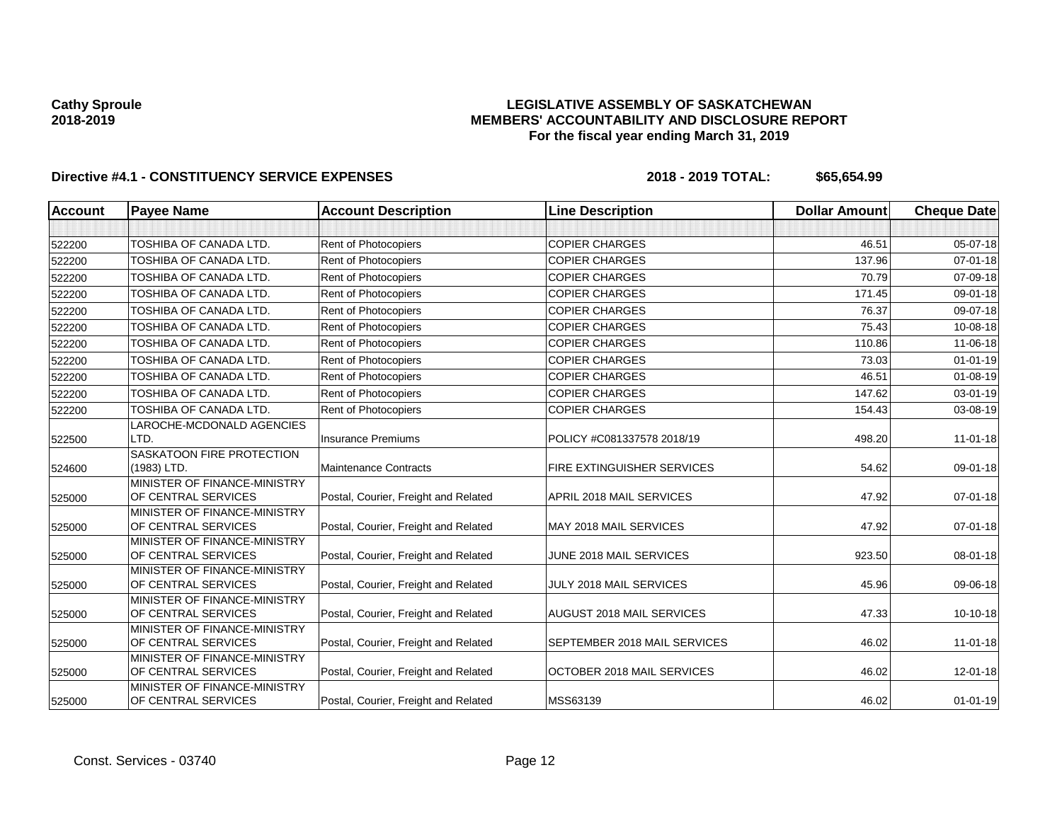## **LEGISLATIVE ASSEMBLY OF SASKATCHEWAN MEMBERS' ACCOUNTABILITY AND DISCLOSURE REPORT For the fiscal year ending March 31, 2019**

| <b>Account</b> | <b>Payee Name</b>                                   | <b>Account Description</b>           | <b>Line Description</b>          | <b>Dollar Amount</b> | <b>Cheque Date</b> |
|----------------|-----------------------------------------------------|--------------------------------------|----------------------------------|----------------------|--------------------|
|                |                                                     |                                      |                                  |                      |                    |
| 522200         | TOSHIBA OF CANADA LTD.                              | Rent of Photocopiers                 | <b>COPIER CHARGES</b>            | 46.51                | 05-07-18           |
| 522200         | <b>TOSHIBA OF CANADA LTD.</b>                       | Rent of Photocopiers                 | <b>COPIER CHARGES</b>            | 137.96               | 07-01-18           |
| 522200         | TOSHIBA OF CANADA LTD.                              | Rent of Photocopiers                 | <b>COPIER CHARGES</b>            | 70.79                | 07-09-18           |
| 522200         | TOSHIBA OF CANADA LTD.                              | Rent of Photocopiers                 | <b>COPIER CHARGES</b>            | 171.45               | 09-01-18           |
| 522200         | TOSHIBA OF CANADA LTD.                              | Rent of Photocopiers                 | <b>COPIER CHARGES</b>            | 76.37                | 09-07-18           |
| 522200         | TOSHIBA OF CANADA LTD.                              | <b>Rent of Photocopiers</b>          | <b>COPIER CHARGES</b>            | 75.43                | 10-08-18           |
| 522200         | TOSHIBA OF CANADA LTD.                              | Rent of Photocopiers                 | <b>COPIER CHARGES</b>            | 110.86               | 11-06-18           |
| 522200         | TOSHIBA OF CANADA LTD.                              | Rent of Photocopiers                 | <b>COPIER CHARGES</b>            | 73.03                | $01 - 01 - 19$     |
| 522200         | TOSHIBA OF CANADA LTD.                              | Rent of Photocopiers                 | <b>COPIER CHARGES</b>            | 46.51                | $01 - 08 - 19$     |
| 522200         | TOSHIBA OF CANADA LTD.                              | Rent of Photocopiers                 | <b>COPIER CHARGES</b>            | 147.62               | $03 - 01 - 19$     |
| 522200         | TOSHIBA OF CANADA LTD.                              | Rent of Photocopiers                 | <b>COPIER CHARGES</b>            | 154.43               | 03-08-19           |
| 522500         | LAROCHE-MCDONALD AGENCIES<br>LTD.                   | <b>Insurance Premiums</b>            | POLICY #C081337578 2018/19       | 498.20               | $11-01-18$         |
| 524600         | SASKATOON FIRE PROTECTION<br>(1983) LTD.            | Maintenance Contracts                | FIRE EXTINGUISHER SERVICES       | 54.62                | 09-01-18           |
| 525000         | MINISTER OF FINANCE-MINISTRY<br>OF CENTRAL SERVICES | Postal, Courier, Freight and Related | APRIL 2018 MAIL SERVICES         | 47.92                | $07 - 01 - 18$     |
| 525000         | MINISTER OF FINANCE-MINISTRY<br>OF CENTRAL SERVICES | Postal, Courier, Freight and Related | MAY 2018 MAIL SERVICES           | 47.92                | $07 - 01 - 18$     |
| 525000         | MINISTER OF FINANCE-MINISTRY<br>OF CENTRAL SERVICES | Postal, Courier, Freight and Related | JUNE 2018 MAIL SERVICES          | 923.50               | 08-01-18           |
| 525000         | MINISTER OF FINANCE-MINISTRY<br>OF CENTRAL SERVICES | Postal, Courier, Freight and Related | JULY 2018 MAIL SERVICES          | 45.96                | 09-06-18           |
| 525000         | MINISTER OF FINANCE-MINISTRY<br>OF CENTRAL SERVICES | Postal, Courier, Freight and Related | <b>AUGUST 2018 MAIL SERVICES</b> | 47.33                | 10-10-18           |
| 525000         | MINISTER OF FINANCE-MINISTRY<br>OF CENTRAL SERVICES | Postal, Courier, Freight and Related | SEPTEMBER 2018 MAIL SERVICES     | 46.02                | $11 - 01 - 18$     |
| 525000         | MINISTER OF FINANCE-MINISTRY<br>OF CENTRAL SERVICES | Postal, Courier, Freight and Related | OCTOBER 2018 MAIL SERVICES       | 46.02                | 12-01-18           |
| 525000         | MINISTER OF FINANCE-MINISTRY<br>OF CENTRAL SERVICES | Postal, Courier, Freight and Related | MSS63139                         | 46.02                | $01 - 01 - 19$     |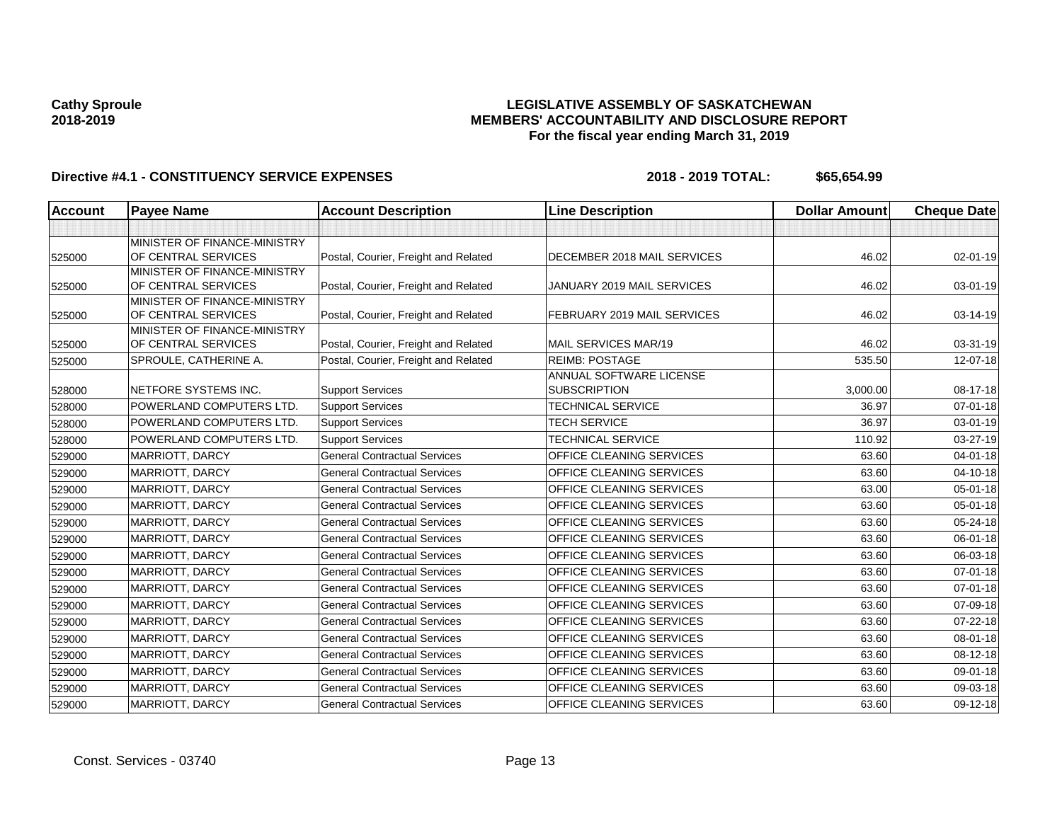## **LEGISLATIVE ASSEMBLY OF SASKATCHEWAN MEMBERS' ACCOUNTABILITY AND DISCLOSURE REPORT For the fiscal year ending March 31, 2019**

| <b>Account</b> | <b>Payee Name</b>                                   | <b>Account Description</b>           | <b>Line Description</b>                        | <b>Dollar Amount</b> | <b>Cheque Date</b> |
|----------------|-----------------------------------------------------|--------------------------------------|------------------------------------------------|----------------------|--------------------|
|                |                                                     |                                      |                                                |                      |                    |
| 525000         | MINISTER OF FINANCE-MINISTRY<br>OF CENTRAL SERVICES | Postal, Courier, Freight and Related | DECEMBER 2018 MAIL SERVICES                    | 46.02                | $02 - 01 - 19$     |
| 525000         | MINISTER OF FINANCE-MINISTRY<br>OF CENTRAL SERVICES | Postal, Courier, Freight and Related | JANUARY 2019 MAIL SERVICES                     | 46.02                | 03-01-19           |
| 525000         | MINISTER OF FINANCE-MINISTRY<br>OF CENTRAL SERVICES | Postal, Courier, Freight and Related | FEBRUARY 2019 MAIL SERVICES                    | 46.02                | 03-14-19           |
| 525000         | MINISTER OF FINANCE-MINISTRY<br>OF CENTRAL SERVICES | Postal, Courier, Freight and Related | MAIL SERVICES MAR/19                           | 46.02                | 03-31-19           |
| 525000         | SPROULE, CATHERINE A.                               | Postal, Courier, Freight and Related | <b>REIMB: POSTAGE</b>                          | 535.50               | 12-07-18           |
| 528000         | NETFORE SYSTEMS INC.                                | <b>Support Services</b>              | ANNUAL SOFTWARE LICENSE<br><b>SUBSCRIPTION</b> | 3,000.00             | 08-17-18           |
| 528000         | POWERLAND COMPUTERS LTD.                            | <b>Support Services</b>              | <b>TECHNICAL SERVICE</b>                       | 36.97                | $07 - 01 - 18$     |
| 528000         | POWERLAND COMPUTERS LTD.                            | <b>Support Services</b>              | <b>TECH SERVICE</b>                            | 36.97                | 03-01-19           |
| 528000         | POWERLAND COMPUTERS LTD.                            | <b>Support Services</b>              | <b>TECHNICAL SERVICE</b>                       | 110.92               | 03-27-19           |
| 529000         | MARRIOTT, DARCY                                     | <b>General Contractual Services</b>  | OFFICE CLEANING SERVICES                       | 63.60                | $04 - 01 - 18$     |
| 529000         | <b>MARRIOTT, DARCY</b>                              | <b>General Contractual Services</b>  | OFFICE CLEANING SERVICES                       | 63.60                | 04-10-18           |
| 529000         | MARRIOTT, DARCY                                     | <b>General Contractual Services</b>  | OFFICE CLEANING SERVICES                       | 63.00                | $05 - 01 - 18$     |
| 529000         | <b>MARRIOTT, DARCY</b>                              | <b>General Contractual Services</b>  | OFFICE CLEANING SERVICES                       | 63.60                | $05 - 01 - 18$     |
| 529000         | MARRIOTT, DARCY                                     | <b>General Contractual Services</b>  | OFFICE CLEANING SERVICES                       | 63.60                | 05-24-18           |
| 529000         | MARRIOTT, DARCY                                     | <b>General Contractual Services</b>  | OFFICE CLEANING SERVICES                       | 63.60                | 06-01-18           |
| 529000         | <b>MARRIOTT, DARCY</b>                              | <b>General Contractual Services</b>  | OFFICE CLEANING SERVICES                       | 63.60                | 06-03-18           |
| 529000         | MARRIOTT, DARCY                                     | <b>General Contractual Services</b>  | OFFICE CLEANING SERVICES                       | 63.60                | $07 - 01 - 18$     |
| 529000         | <b>MARRIOTT, DARCY</b>                              | <b>General Contractual Services</b>  | OFFICE CLEANING SERVICES                       | 63.60                | $07 - 01 - 18$     |
| 529000         | MARRIOTT, DARCY                                     | <b>General Contractual Services</b>  | OFFICE CLEANING SERVICES                       | 63.60                | 07-09-18           |
| 529000         | MARRIOTT, DARCY                                     | <b>General Contractual Services</b>  | OFFICE CLEANING SERVICES                       | 63.60                | $07 - 22 - 18$     |
| 529000         | <b>MARRIOTT, DARCY</b>                              | <b>General Contractual Services</b>  | OFFICE CLEANING SERVICES                       | 63.60                | 08-01-18           |
| 529000         | MARRIOTT, DARCY                                     | <b>General Contractual Services</b>  | OFFICE CLEANING SERVICES                       | 63.60                | 08-12-18           |
| 529000         | MARRIOTT, DARCY                                     | <b>General Contractual Services</b>  | OFFICE CLEANING SERVICES                       | 63.60                | $09 - 01 - 18$     |
| 529000         | MARRIOTT, DARCY                                     | <b>General Contractual Services</b>  | OFFICE CLEANING SERVICES                       | 63.60                | 09-03-18           |
| 529000         | MARRIOTT, DARCY                                     | <b>General Contractual Services</b>  | OFFICE CLEANING SERVICES                       | 63.60                | 09-12-18           |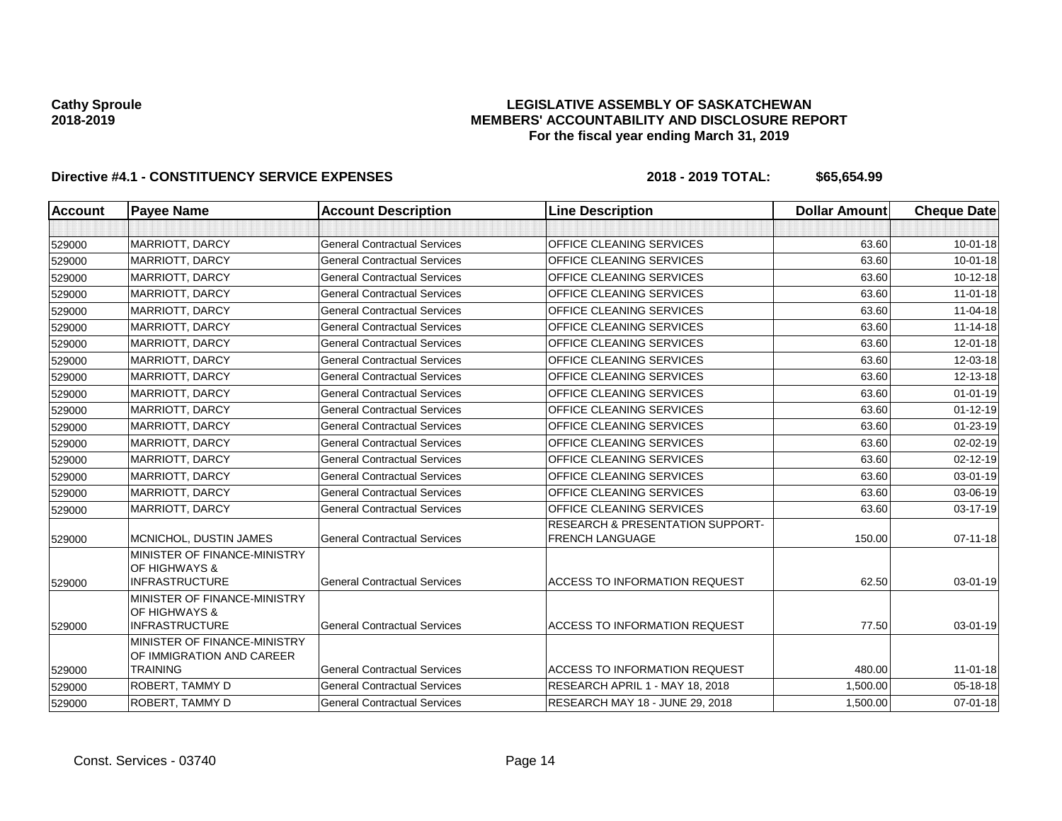## **LEGISLATIVE ASSEMBLY OF SASKATCHEWAN MEMBERS' ACCOUNTABILITY AND DISCLOSURE REPORT For the fiscal year ending March 31, 2019**

| <b>Account</b> | <b>Payee Name</b>                                                      | <b>Account Description</b>          | <b>Line Description</b>                                               | <b>Dollar Amount</b> | <b>Cheque Date</b> |
|----------------|------------------------------------------------------------------------|-------------------------------------|-----------------------------------------------------------------------|----------------------|--------------------|
|                |                                                                        |                                     |                                                                       |                      |                    |
| 529000         | <b>MARRIOTT, DARCY</b>                                                 | <b>General Contractual Services</b> | OFFICE CLEANING SERVICES                                              | 63.60                | $10 - 01 - 18$     |
| 529000         | MARRIOTT, DARCY                                                        | <b>General Contractual Services</b> | OFFICE CLEANING SERVICES                                              | 63.60                | $10-01-18$         |
| 529000         | <b>MARRIOTT, DARCY</b>                                                 | <b>General Contractual Services</b> | OFFICE CLEANING SERVICES                                              | 63.60                | 10-12-18           |
| 529000         | MARRIOTT, DARCY                                                        | <b>General Contractual Services</b> | OFFICE CLEANING SERVICES                                              | 63.60                | $11 - 01 - 18$     |
| 529000         | <b>MARRIOTT, DARCY</b>                                                 | <b>General Contractual Services</b> | OFFICE CLEANING SERVICES                                              | 63.60                | $11 - 04 - 18$     |
| 529000         | MARRIOTT, DARCY                                                        | <b>General Contractual Services</b> | OFFICE CLEANING SERVICES                                              | 63.60                | $11 - 14 - 18$     |
| 529000         | MARRIOTT, DARCY                                                        | <b>General Contractual Services</b> | OFFICE CLEANING SERVICES                                              | 63.60                | $12 - 01 - 18$     |
| 529000         | <b>MARRIOTT, DARCY</b>                                                 | <b>General Contractual Services</b> | OFFICE CLEANING SERVICES                                              | 63.60                | 12-03-18           |
| 529000         | MARRIOTT, DARCY                                                        | <b>General Contractual Services</b> | OFFICE CLEANING SERVICES                                              | 63.60                | 12-13-18           |
| 529000         | <b>MARRIOTT, DARCY</b>                                                 | <b>General Contractual Services</b> | OFFICE CLEANING SERVICES                                              | 63.60                | $01 - 01 - 19$     |
| 529000         | MARRIOTT, DARCY                                                        | <b>General Contractual Services</b> | OFFICE CLEANING SERVICES                                              | 63.60                | $01 - 12 - 19$     |
| 529000         | MARRIOTT, DARCY                                                        | <b>General Contractual Services</b> | OFFICE CLEANING SERVICES                                              | 63.60                | $01 - 23 - 19$     |
| 529000         | <b>MARRIOTT, DARCY</b>                                                 | <b>General Contractual Services</b> | <b>OFFICE CLEANING SERVICES</b>                                       | 63.60                | 02-02-19           |
| 529000         | MARRIOTT, DARCY                                                        | <b>General Contractual Services</b> | OFFICE CLEANING SERVICES                                              | 63.60                | 02-12-19           |
| 529000         | <b>MARRIOTT, DARCY</b>                                                 | <b>General Contractual Services</b> | OFFICE CLEANING SERVICES                                              | 63.60                | 03-01-19           |
| 529000         | <b>MARRIOTT, DARCY</b>                                                 | <b>General Contractual Services</b> | OFFICE CLEANING SERVICES                                              | 63.60                | 03-06-19           |
| 529000         | MARRIOTT, DARCY                                                        | <b>General Contractual Services</b> | OFFICE CLEANING SERVICES                                              | 63.60                | 03-17-19           |
| 529000         | MCNICHOL, DUSTIN JAMES                                                 | <b>General Contractual Services</b> | <b>RESEARCH &amp; PRESENTATION SUPPORT-</b><br><b>FRENCH LANGUAGE</b> | 150.00               | $07 - 11 - 18$     |
| 529000         | MINISTER OF FINANCE-MINISTRY<br>OF HIGHWAYS &<br><b>INFRASTRUCTURE</b> | <b>General Contractual Services</b> | ACCESS TO INFORMATION REQUEST                                         | 62.50                | 03-01-19           |
| 529000         | MINISTER OF FINANCE-MINISTRY<br>OF HIGHWAYS &<br><b>INFRASTRUCTURE</b> | <b>General Contractual Services</b> | <b>ACCESS TO INFORMATION REQUEST</b>                                  | 77.50                | $03 - 01 - 19$     |
|                | MINISTER OF FINANCE-MINISTRY<br>OF IMMIGRATION AND CAREER              |                                     |                                                                       |                      |                    |
| 529000         | <b>TRAINING</b>                                                        | <b>General Contractual Services</b> | <b>ACCESS TO INFORMATION REQUEST</b>                                  | 480.00               | $11 - 01 - 18$     |
| 529000         | ROBERT, TAMMY D                                                        | <b>General Contractual Services</b> | RESEARCH APRIL 1 - MAY 18, 2018                                       | 1,500.00             | 05-18-18           |
| 529000         | ROBERT. TAMMY D                                                        | <b>General Contractual Services</b> | RESEARCH MAY 18 - JUNE 29, 2018                                       | 1,500.00             | $07 - 01 - 18$     |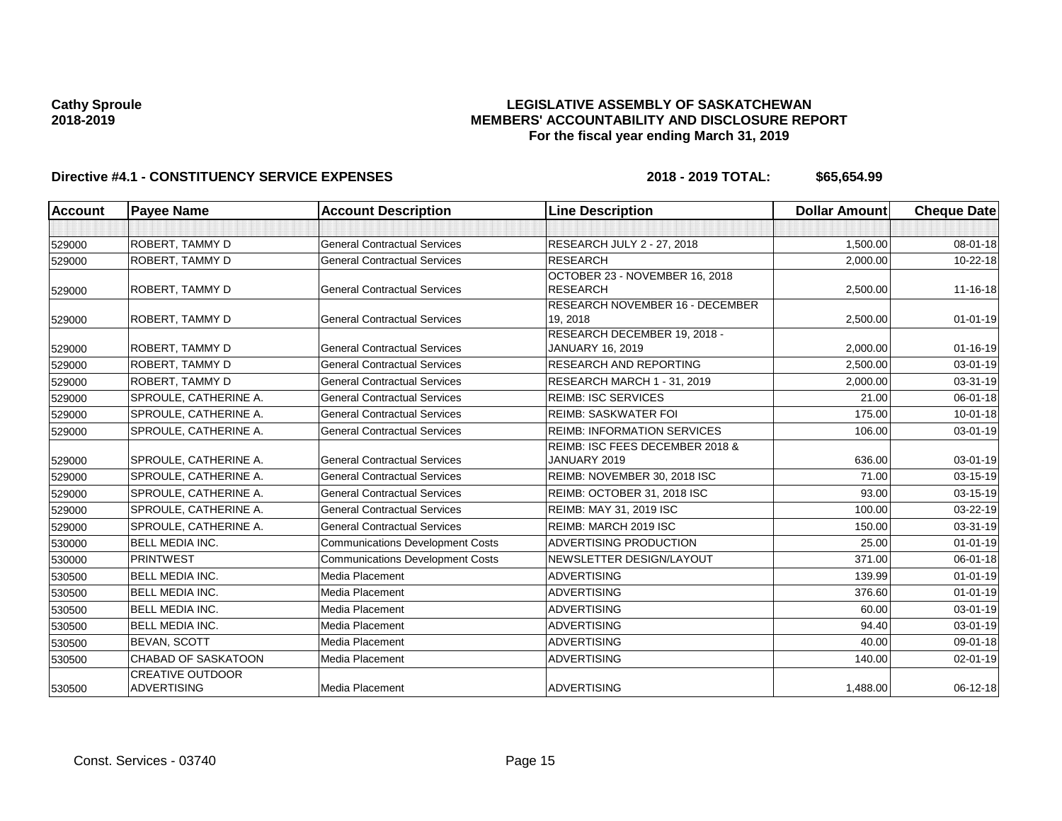## **LEGISLATIVE ASSEMBLY OF SASKATCHEWAN MEMBERS' ACCOUNTABILITY AND DISCLOSURE REPORT For the fiscal year ending March 31, 2019**

| <b>Account</b> | <b>Payee Name</b>          | <b>Account Description</b>              | <b>Line Description</b>                | <b>Dollar Amount</b> | <b>Cheque Date</b> |
|----------------|----------------------------|-----------------------------------------|----------------------------------------|----------------------|--------------------|
|                |                            |                                         |                                        |                      |                    |
| 529000         | <b>ROBERT, TAMMY D</b>     | <b>General Contractual Services</b>     | RESEARCH JULY 2 - 27, 2018             | 1,500.00             | 08-01-18           |
| 529000         | ROBERT, TAMMY D            | <b>General Contractual Services</b>     | <b>RESEARCH</b>                        | 2,000.00             | $10 - 22 - 18$     |
|                |                            |                                         | OCTOBER 23 - NOVEMBER 16, 2018         |                      |                    |
| 529000         | <b>ROBERT, TAMMY D</b>     | <b>General Contractual Services</b>     | <b>RESEARCH</b>                        | 2,500.00             | 11-16-18           |
|                |                            |                                         | <b>RESEARCH NOVEMBER 16 - DECEMBER</b> |                      |                    |
| 529000         | ROBERT, TAMMY D            | <b>General Contractual Services</b>     | 19, 2018                               | 2,500.00             | $01 - 01 - 19$     |
|                |                            |                                         | RESEARCH DECEMBER 19, 2018 -           |                      |                    |
| 529000         | <b>ROBERT, TAMMY D</b>     | <b>General Contractual Services</b>     | <b>JANUARY 16, 2019</b>                | 2,000.00             | $01 - 16 - 19$     |
| 529000         | <b>ROBERT, TAMMY D</b>     | <b>General Contractual Services</b>     | <b>RESEARCH AND REPORTING</b>          | 2,500.00             | 03-01-19           |
| 529000         | <b>ROBERT, TAMMY D</b>     | <b>General Contractual Services</b>     | RESEARCH MARCH 1 - 31, 2019            | 2,000.00             | 03-31-19           |
| 529000         | SPROULE, CATHERINE A.      | <b>General Contractual Services</b>     | <b>REIMB: ISC SERVICES</b>             | 21.00                | 06-01-18           |
| 529000         | SPROULE, CATHERINE A.      | <b>General Contractual Services</b>     | <b>REIMB: SASKWATER FOI</b>            | 175.00               | $10 - 01 - 18$     |
| 529000         | SPROULE, CATHERINE A.      | <b>General Contractual Services</b>     | <b>REIMB: INFORMATION SERVICES</b>     | 106.00               | 03-01-19           |
|                |                            |                                         | REIMB: ISC FEES DECEMBER 2018 &        |                      |                    |
| 529000         | SPROULE, CATHERINE A.      | <b>General Contractual Services</b>     | JANUARY 2019                           | 636.00               | $03 - 01 - 19$     |
| 529000         | SPROULE, CATHERINE A.      | <b>General Contractual Services</b>     | REIMB: NOVEMBER 30, 2018 ISC           | 71.00                | 03-15-19           |
| 529000         | SPROULE, CATHERINE A.      | <b>General Contractual Services</b>     | REIMB: OCTOBER 31, 2018 ISC            | 93.00                | 03-15-19           |
| 529000         | SPROULE, CATHERINE A.      | <b>General Contractual Services</b>     | REIMB: MAY 31, 2019 ISC                | 100.00               | 03-22-19           |
| 529000         | SPROULE, CATHERINE A.      | <b>General Contractual Services</b>     | REIMB: MARCH 2019 ISC                  | 150.00               | 03-31-19           |
| 530000         | <b>BELL MEDIA INC.</b>     | <b>Communications Development Costs</b> | ADVERTISING PRODUCTION                 | 25.00                | $01 - 01 - 19$     |
| 530000         | PRINTWEST                  | <b>Communications Development Costs</b> | NEWSLETTER DESIGN/LAYOUT               | 371.00               | 06-01-18           |
| 530500         | <b>BELL MEDIA INC.</b>     | Media Placement                         | <b>ADVERTISING</b>                     | 139.99               | $01 - 01 - 19$     |
| 530500         | <b>BELL MEDIA INC.</b>     | Media Placement                         | <b>ADVERTISING</b>                     | 376.60               | $01 - 01 - 19$     |
| 530500         | <b>BELL MEDIA INC.</b>     | Media Placement                         | <b>ADVERTISING</b>                     | 60.00                | 03-01-19           |
| 530500         | <b>BELL MEDIA INC.</b>     | Media Placement                         | <b>ADVERTISING</b>                     | 94.40                | 03-01-19           |
| 530500         | <b>BEVAN, SCOTT</b>        | Media Placement                         | <b>ADVERTISING</b>                     | 40.00                | 09-01-18           |
| 530500         | <b>CHABAD OF SASKATOON</b> | Media Placement                         | <b>ADVERTISING</b>                     | 140.00               | 02-01-19           |
|                | <b>CREATIVE OUTDOOR</b>    |                                         |                                        |                      |                    |
| 530500         | ADVERTISING                | Media Placement                         | <b>ADVERTISING</b>                     | 1,488.00             | 06-12-18           |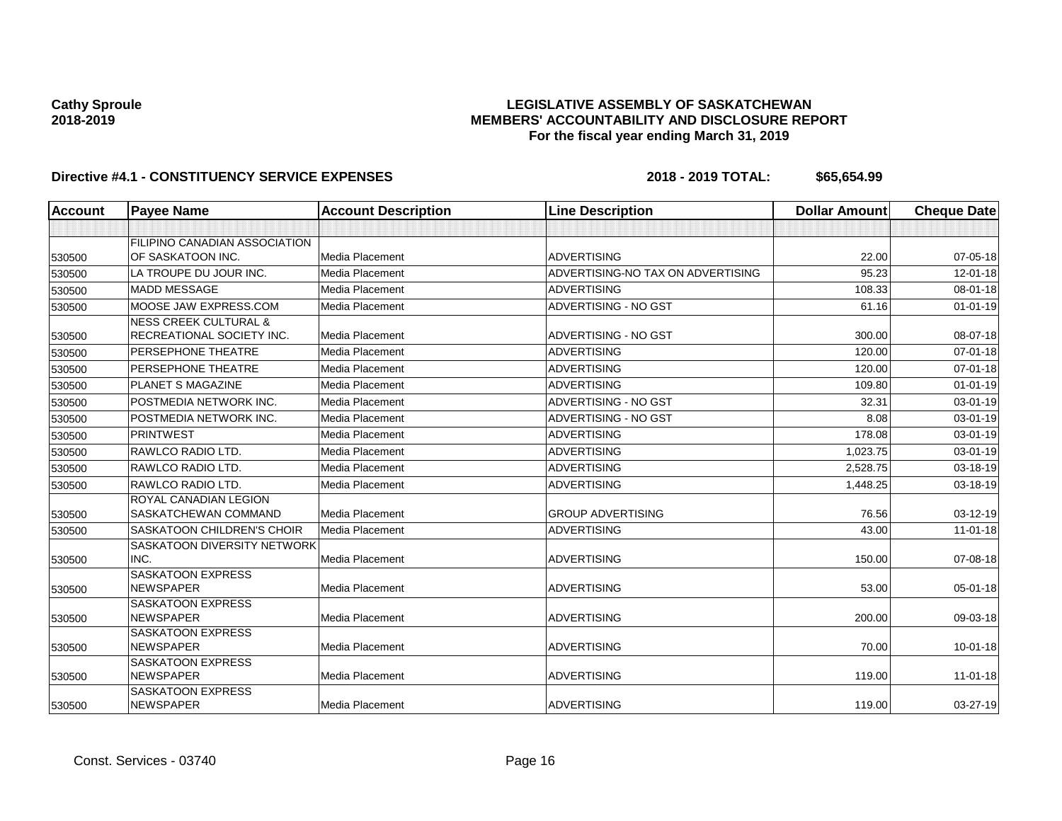## **LEGISLATIVE ASSEMBLY OF SASKATCHEWAN MEMBERS' ACCOUNTABILITY AND DISCLOSURE REPORT For the fiscal year ending March 31, 2019**

| <b>Account</b> | <b>Payee Name</b>                            | <b>Account Description</b> | <b>Line Description</b>           | <b>Dollar Amount</b> | <b>Cheque Date</b> |
|----------------|----------------------------------------------|----------------------------|-----------------------------------|----------------------|--------------------|
|                |                                              |                            |                                   |                      |                    |
|                | FILIPINO CANADIAN ASSOCIATION                |                            |                                   |                      |                    |
| 530500         | OF SASKATOON INC.                            | Media Placement            | <b>ADVERTISING</b>                | 22.00                | 07-05-18           |
| 530500         | LA TROUPE DU JOUR INC.                       | Media Placement            | ADVERTISING-NO TAX ON ADVERTISING | 95.23                | $12 - 01 - 18$     |
| 530500         | <b>MADD MESSAGE</b>                          | Media Placement            | <b>ADVERTISING</b>                | 108.33               | 08-01-18           |
| 530500         | MOOSE JAW EXPRESS.COM                        | Media Placement            | <b>ADVERTISING - NO GST</b>       | 61.16                | $01 - 01 - 19$     |
|                | <b>NESS CREEK CULTURAL &amp;</b>             |                            |                                   |                      |                    |
| 530500         | RECREATIONAL SOCIETY INC.                    | Media Placement            | ADVERTISING - NO GST              | 300.00               | 08-07-18           |
| 530500         | PERSEPHONE THEATRE                           | Media Placement            | <b>ADVERTISING</b>                | 120.00               | $07 - 01 - 18$     |
| 530500         | PERSEPHONE THEATRE                           | Media Placement            | <b>ADVERTISING</b>                | 120.00               | $07 - 01 - 18$     |
| 530500         | <b>PLANET S MAGAZINE</b>                     | Media Placement            | <b>ADVERTISING</b>                | 109.80               | $01 - 01 - 19$     |
| 530500         | POSTMEDIA NETWORK INC.                       | Media Placement            | <b>ADVERTISING - NO GST</b>       | 32.31                | 03-01-19           |
| 530500         | POSTMEDIA NETWORK INC.                       | Media Placement            | ADVERTISING - NO GST              | 8.08                 | 03-01-19           |
| 530500         | <b>PRINTWEST</b>                             | Media Placement            | <b>ADVERTISING</b>                | 178.08               | 03-01-19           |
| 530500         | RAWLCO RADIO LTD.                            | Media Placement            | <b>ADVERTISING</b>                | 1,023.75             | 03-01-19           |
| 530500         | RAWLCO RADIO LTD.                            | Media Placement            | <b>ADVERTISING</b>                | 2,528.75             | 03-18-19           |
| 530500         | RAWLCO RADIO LTD.                            | Media Placement            | <b>ADVERTISING</b>                | 1,448.25             | 03-18-19           |
|                | ROYAL CANADIAN LEGION                        |                            |                                   |                      |                    |
| 530500         | SASKATCHEWAN COMMAND                         | Media Placement            | <b>GROUP ADVERTISING</b>          | 76.56                | 03-12-19           |
| 530500         | <b>SASKATOON CHILDREN'S CHOIR</b>            | Media Placement            | <b>ADVERTISING</b>                | 43.00                | $11 - 01 - 18$     |
|                | <b>SASKATOON DIVERSITY NETWORK</b>           |                            |                                   |                      |                    |
| 530500         | INC.                                         | Media Placement            | <b>ADVERTISING</b>                | 150.00               | 07-08-18           |
|                | <b>SASKATOON EXPRESS</b>                     |                            |                                   |                      |                    |
| 530500         | <b>NEWSPAPER</b>                             | Media Placement            | <b>ADVERTISING</b>                | 53.00                | 05-01-18           |
| 530500         | <b>SASKATOON EXPRESS</b><br><b>NEWSPAPER</b> | Media Placement            | <b>ADVERTISING</b>                | 200.00               | 09-03-18           |
|                | <b>SASKATOON EXPRESS</b>                     |                            |                                   |                      |                    |
| 530500         | <b>NEWSPAPER</b>                             | Media Placement            | <b>ADVERTISING</b>                | 70.00                | $10 - 01 - 18$     |
|                | <b>SASKATOON EXPRESS</b>                     |                            |                                   |                      |                    |
| 530500         | <b>NEWSPAPER</b>                             | Media Placement            | <b>ADVERTISING</b>                | 119.00               | $11 - 01 - 18$     |
|                | <b>SASKATOON EXPRESS</b>                     |                            |                                   |                      |                    |
| 530500         | <b>NEWSPAPER</b>                             | Media Placement            | <b>ADVERTISING</b>                | 119.00               | 03-27-19           |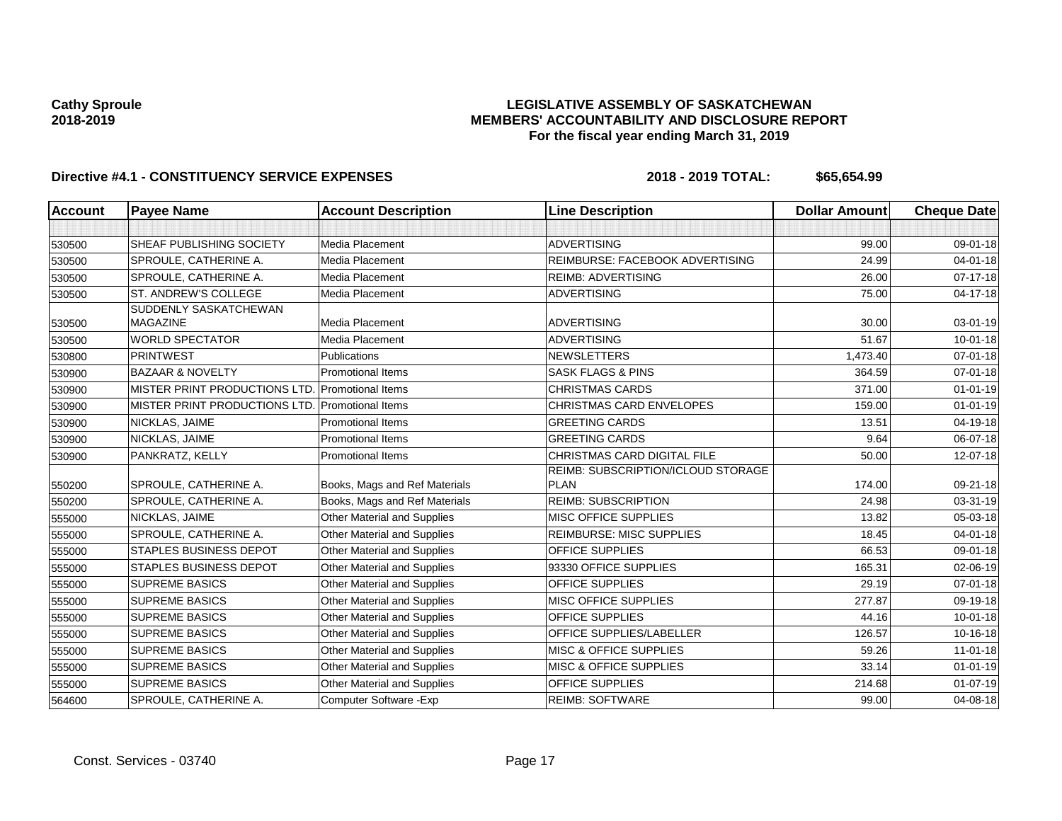## **LEGISLATIVE ASSEMBLY OF SASKATCHEWAN MEMBERS' ACCOUNTABILITY AND DISCLOSURE REPORT For the fiscal year ending March 31, 2019**

| <b>Account</b> | <b>Payee Name</b>                        | <b>Account Description</b>    | <b>Line Description</b>                                  | <b>Dollar Amount</b> | <b>Cheque Date</b> |
|----------------|------------------------------------------|-------------------------------|----------------------------------------------------------|----------------------|--------------------|
|                |                                          |                               |                                                          |                      |                    |
| 530500         | <b>SHEAF PUBLISHING SOCIETY</b>          | Media Placement               | <b>ADVERTISING</b>                                       | 99.00                | 09-01-18           |
| 530500         | SPROULE, CATHERINE A.                    | Media Placement               | <b>REIMBURSE: FACEBOOK ADVERTISING</b>                   | 24.99                | $04 - 01 - 18$     |
| 530500         | SPROULE, CATHERINE A.                    | Media Placement               | <b>REIMB: ADVERTISING</b>                                | 26.00                | $07 - 17 - 18$     |
| 530500         | ST. ANDREW'S COLLEGE                     | Media Placement               | <b>ADVERTISING</b>                                       | 75.00                | 04-17-18           |
| 530500         | SUDDENLY SASKATCHEWAN<br><b>MAGAZINE</b> | Media Placement               | <b>ADVERTISING</b>                                       | 30.00                | 03-01-19           |
| 530500         | <b>WORLD SPECTATOR</b>                   | Media Placement               | <b>ADVERTISING</b>                                       | 51.67                | $10 - 01 - 18$     |
| 530800         | <b>PRINTWEST</b>                         | <b>Publications</b>           | <b>NEWSLETTERS</b>                                       | 1,473.40             | $07 - 01 - 18$     |
| 530900         | <b>BAZAAR &amp; NOVELTY</b>              | <b>Promotional Items</b>      | <b>SASK FLAGS &amp; PINS</b>                             | 364.59               | $07 - 01 - 18$     |
| 530900         | MISTER PRINT PRODUCTIONS LTD             | <b>Promotional Items</b>      | <b>CHRISTMAS CARDS</b>                                   | 371.00               | $01 - 01 - 19$     |
| 530900         | MISTER PRINT PRODUCTIONS LTD.            | Promotional Items             | <b>CHRISTMAS CARD ENVELOPES</b>                          | 159.00               | $01 - 01 - 19$     |
| 530900         | NICKLAS, JAIME                           | <b>Promotional Items</b>      | <b>GREETING CARDS</b>                                    | 13.51                | 04-19-18           |
| 530900         | NICKLAS, JAIME                           | <b>Promotional Items</b>      | <b>GREETING CARDS</b>                                    | 9.64                 | 06-07-18           |
| 530900         | PANKRATZ, KELLY                          | <b>Promotional Items</b>      | CHRISTMAS CARD DIGITAL FILE                              | 50.00                | 12-07-18           |
| 550200         | SPROULE, CATHERINE A.                    | Books, Mags and Ref Materials | <b>REIMB: SUBSCRIPTION/ICLOUD STORAGE</b><br><b>PLAN</b> | 174.00               | 09-21-18           |
| 550200         | SPROULE, CATHERINE A.                    | Books, Mags and Ref Materials | <b>REIMB: SUBSCRIPTION</b>                               | 24.98                | 03-31-19           |
| 555000         | NICKLAS, JAIME                           | Other Material and Supplies   | <b>MISC OFFICE SUPPLIES</b>                              | 13.82                | 05-03-18           |
| 555000         | SPROULE, CATHERINE A.                    | Other Material and Supplies   | <b>REIMBURSE: MISC SUPPLIES</b>                          | 18.45                | $04 - 01 - 18$     |
| 555000         | <b>STAPLES BUSINESS DEPOT</b>            | Other Material and Supplies   | OFFICE SUPPLIES                                          | 66.53                | 09-01-18           |
| 555000         | <b>STAPLES BUSINESS DEPOT</b>            | Other Material and Supplies   | 93330 OFFICE SUPPLIES                                    | 165.31               | 02-06-19           |
| 555000         | <b>SUPREME BASICS</b>                    | Other Material and Supplies   | <b>OFFICE SUPPLIES</b>                                   | 29.19                | $07 - 01 - 18$     |
| 555000         | <b>SUPREME BASICS</b>                    | Other Material and Supplies   | MISC OFFICE SUPPLIES                                     | 277.87               | 09-19-18           |
| 555000         | <b>SUPREME BASICS</b>                    | Other Material and Supplies   | OFFICE SUPPLIES                                          | 44.16                | $10 - 01 - 18$     |
| 555000         | <b>SUPREME BASICS</b>                    | Other Material and Supplies   | OFFICE SUPPLIES/LABELLER                                 | 126.57               | 10-16-18           |
| 555000         | <b>SUPREME BASICS</b>                    | Other Material and Supplies   | <b>MISC &amp; OFFICE SUPPLIES</b>                        | 59.26                | $11-01-18$         |
| 555000         | <b>SUPREME BASICS</b>                    | Other Material and Supplies   | <b>MISC &amp; OFFICE SUPPLIES</b>                        | 33.14                | $01 - 01 - 19$     |
| 555000         | <b>SUPREME BASICS</b>                    | Other Material and Supplies   | OFFICE SUPPLIES                                          | 214.68               | $01 - 07 - 19$     |
| 564600         | SPROULE, CATHERINE A.                    | Computer Software - Exp       | <b>REIMB: SOFTWARE</b>                                   | 99.00                | 04-08-18           |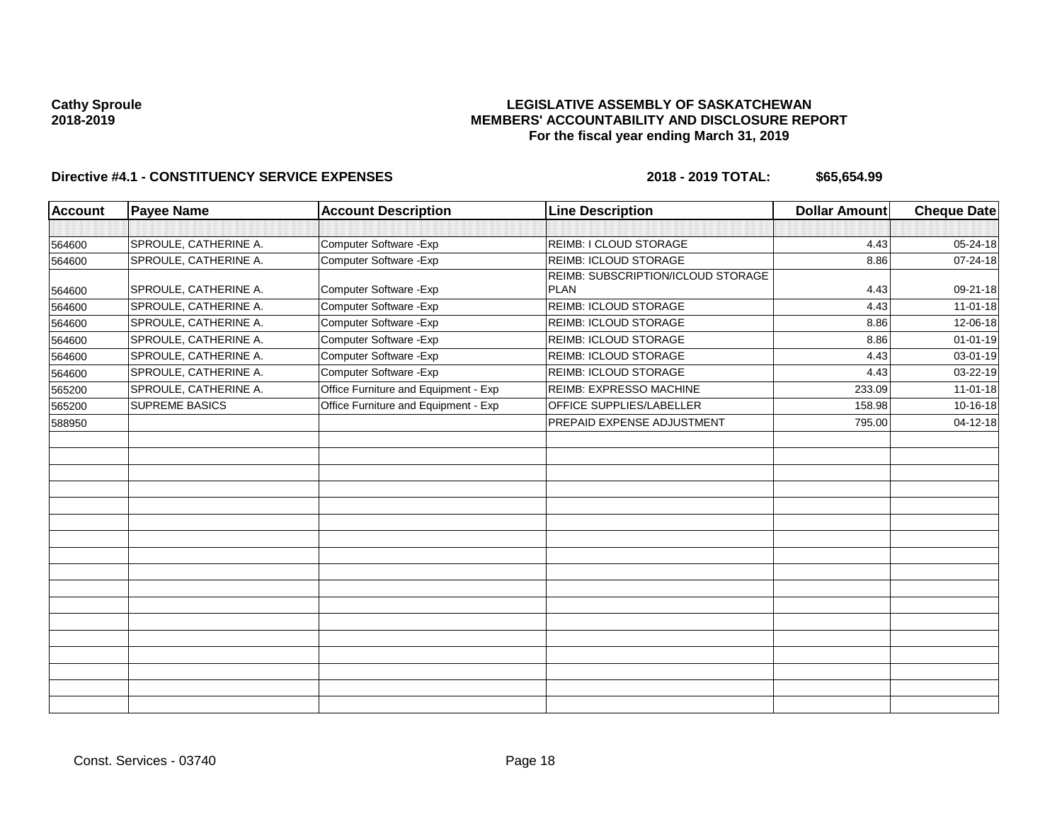## **LEGISLATIVE ASSEMBLY OF SASKATCHEWAN MEMBERS' ACCOUNTABILITY AND DISCLOSURE REPORT For the fiscal year ending March 31, 2019**

| <b>Account</b> | <b>Payee Name</b>     | <b>Account Description</b>           | <b>Line Description</b>            | <b>Dollar Amount</b> | <b>Cheque Date</b> |
|----------------|-----------------------|--------------------------------------|------------------------------------|----------------------|--------------------|
|                |                       |                                      |                                    |                      |                    |
| 564600         | SPROULE, CATHERINE A. | Computer Software - Exp              | REIMB: I CLOUD STORAGE             | 4.43                 | 05-24-18           |
| 564600         | SPROULE, CATHERINE A. | Computer Software - Exp              | <b>REIMB: ICLOUD STORAGE</b>       | 8.86                 | 07-24-18           |
|                |                       |                                      | REIMB: SUBSCRIPTION/ICLOUD STORAGE |                      |                    |
| 564600         | SPROULE, CATHERINE A. | Computer Software - Exp              | PLAN                               | 4.43                 | 09-21-18           |
| 564600         | SPROULE, CATHERINE A. | Computer Software - Exp              | REIMB: ICLOUD STORAGE              | 4.43                 | $11 - 01 - 18$     |
| 564600         | SPROULE, CATHERINE A. | Computer Software - Exp              | REIMB: ICLOUD STORAGE              | 8.86                 | 12-06-18           |
| 564600         | SPROULE, CATHERINE A. | Computer Software - Exp              | <b>REIMB: ICLOUD STORAGE</b>       | 8.86                 | $01 - 01 - 19$     |
| 564600         | SPROULE, CATHERINE A. | Computer Software - Exp              | <b>REIMB: ICLOUD STORAGE</b>       | 4.43                 | 03-01-19           |
| 564600         | SPROULE, CATHERINE A. | Computer Software - Exp              | <b>REIMB: ICLOUD STORAGE</b>       | 4.43                 | 03-22-19           |
| 565200         | SPROULE, CATHERINE A. | Office Furniture and Equipment - Exp | <b>REIMB: EXPRESSO MACHINE</b>     | 233.09               | $11-01-18$         |
| 565200         | <b>SUPREME BASICS</b> | Office Furniture and Equipment - Exp | OFFICE SUPPLIES/LABELLER           | 158.98               | 10-16-18           |
| 588950         |                       |                                      | PREPAID EXPENSE ADJUSTMENT         | 795.00               | 04-12-18           |
|                |                       |                                      |                                    |                      |                    |
|                |                       |                                      |                                    |                      |                    |
|                |                       |                                      |                                    |                      |                    |
|                |                       |                                      |                                    |                      |                    |
|                |                       |                                      |                                    |                      |                    |
|                |                       |                                      |                                    |                      |                    |
|                |                       |                                      |                                    |                      |                    |
|                |                       |                                      |                                    |                      |                    |
|                |                       |                                      |                                    |                      |                    |
|                |                       |                                      |                                    |                      |                    |
|                |                       |                                      |                                    |                      |                    |
|                |                       |                                      |                                    |                      |                    |
|                |                       |                                      |                                    |                      |                    |
|                |                       |                                      |                                    |                      |                    |
|                |                       |                                      |                                    |                      |                    |
|                |                       |                                      |                                    |                      |                    |
|                |                       |                                      |                                    |                      |                    |
|                |                       |                                      |                                    |                      |                    |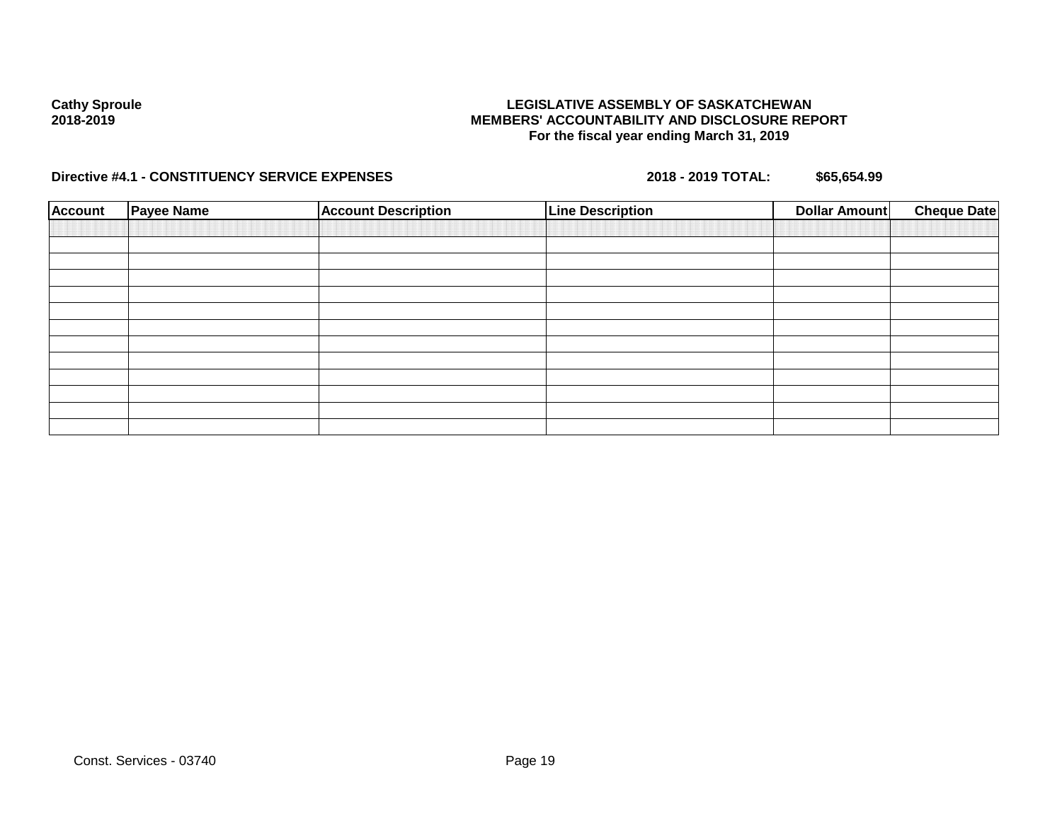## **LEGISLATIVE ASSEMBLY OF SASKATCHEWAN MEMBERS' ACCOUNTABILITY AND DISCLOSURE REPORT For the fiscal year ending March 31, 2019**

| <b>Account</b> | <b>Payee Name</b> | <b>Account Description</b> | <b>Line Description</b> | <b>Cheque Date</b><br><b>Dollar Amount</b> |
|----------------|-------------------|----------------------------|-------------------------|--------------------------------------------|
|                |                   |                            |                         |                                            |
|                |                   |                            |                         |                                            |
|                |                   |                            |                         |                                            |
|                |                   |                            |                         |                                            |
|                |                   |                            |                         |                                            |
|                |                   |                            |                         |                                            |
|                |                   |                            |                         |                                            |
|                |                   |                            |                         |                                            |
|                |                   |                            |                         |                                            |
|                |                   |                            |                         |                                            |
|                |                   |                            |                         |                                            |
|                |                   |                            |                         |                                            |
|                |                   |                            |                         |                                            |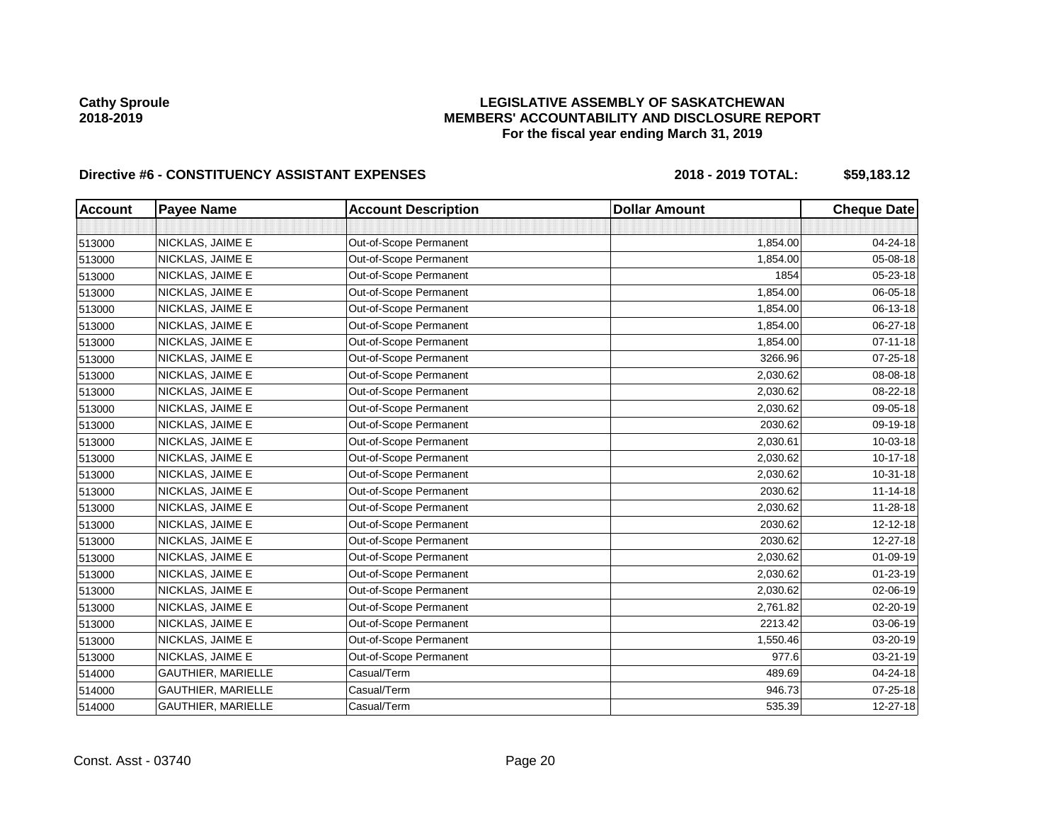## **LEGISLATIVE ASSEMBLY OF SASKATCHEWAN MEMBERS' ACCOUNTABILITY AND DISCLOSURE REPORT For the fiscal year ending March 31, 2019**

| <b>Account</b> | <b>Payee Name</b>  | <b>Account Description</b> | <b>Dollar Amount</b> | <b>Cheque Date</b> |
|----------------|--------------------|----------------------------|----------------------|--------------------|
|                |                    |                            |                      |                    |
| 513000         | NICKLAS, JAIME E   | Out-of-Scope Permanent     | 1,854.00             | 04-24-18           |
| 513000         | NICKLAS, JAIME E   | Out-of-Scope Permanent     | 1,854.00             | 05-08-18           |
| 513000         | NICKLAS, JAIME E   | Out-of-Scope Permanent     | 1854                 | 05-23-18           |
| 513000         | NICKLAS, JAIME E   | Out-of-Scope Permanent     | 1,854.00             | 06-05-18           |
| 513000         | NICKLAS, JAIME E   | Out-of-Scope Permanent     | 1,854.00             | 06-13-18           |
| 513000         | NICKLAS, JAIME E   | Out-of-Scope Permanent     | 1,854.00             | 06-27-18           |
| 513000         | NICKLAS, JAIME E   | Out-of-Scope Permanent     | 1,854.00             | 07-11-18           |
| 513000         | NICKLAS, JAIME E   | Out-of-Scope Permanent     | 3266.96              | $07 - 25 - 18$     |
| 513000         | NICKLAS, JAIME E   | Out-of-Scope Permanent     | 2,030.62             | 08-08-18           |
| 513000         | NICKLAS, JAIME E   | Out-of-Scope Permanent     | 2,030.62             | 08-22-18           |
| 513000         | NICKLAS, JAIME E   | Out-of-Scope Permanent     | 2,030.62             | 09-05-18           |
| 513000         | NICKLAS, JAIME E   | Out-of-Scope Permanent     | 2030.62              | 09-19-18           |
| 513000         | NICKLAS, JAIME E   | Out-of-Scope Permanent     | 2,030.61             | 10-03-18           |
| 513000         | NICKLAS, JAIME E   | Out-of-Scope Permanent     | 2,030.62             | 10-17-18           |
| 513000         | NICKLAS, JAIME E   | Out-of-Scope Permanent     | 2,030.62             | 10-31-18           |
| 513000         | NICKLAS, JAIME E   | Out-of-Scope Permanent     | 2030.62              | $11 - 14 - 18$     |
| 513000         | NICKLAS, JAIME E   | Out-of-Scope Permanent     | 2,030.62             | 11-28-18           |
| 513000         | NICKLAS, JAIME E   | Out-of-Scope Permanent     | 2030.62              | 12-12-18           |
| 513000         | NICKLAS, JAIME E   | Out-of-Scope Permanent     | 2030.62              | 12-27-18           |
| 513000         | NICKLAS, JAIME E   | Out-of-Scope Permanent     | 2,030.62             | 01-09-19           |
| 513000         | NICKLAS, JAIME E   | Out-of-Scope Permanent     | 2,030.62             | 01-23-19           |
| 513000         | NICKLAS, JAIME E   | Out-of-Scope Permanent     | 2,030.62             | 02-06-19           |
| 513000         | NICKLAS, JAIME E   | Out-of-Scope Permanent     | 2,761.82             | 02-20-19           |
| 513000         | NICKLAS, JAIME E   | Out-of-Scope Permanent     | 2213.42              | 03-06-19           |
| 513000         | NICKLAS, JAIME E   | Out-of-Scope Permanent     | 1,550.46             | 03-20-19           |
| 513000         | NICKLAS, JAIME E   | Out-of-Scope Permanent     | 977.6                | 03-21-19           |
| 514000         | GAUTHIER, MARIELLE | Casual/Term                | 489.69               | 04-24-18           |
| 514000         | GAUTHIER, MARIELLE | Casual/Term                | 946.73               | 07-25-18           |
| 514000         | GAUTHIER, MARIELLE | Casual/Term                | 535.39               | 12-27-18           |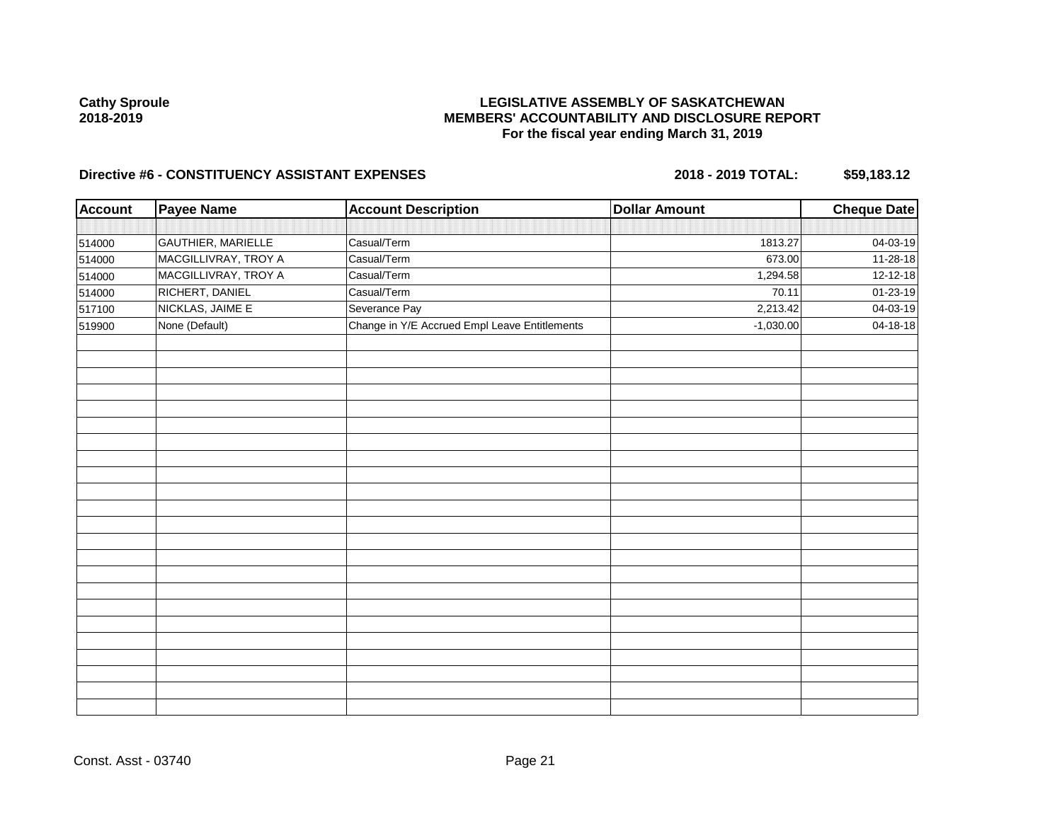## **LEGISLATIVE ASSEMBLY OF SASKATCHEWAN MEMBERS' ACCOUNTABILITY AND DISCLOSURE REPORT For the fiscal year ending March 31, 2019**

| <b>Account</b> | <b>Payee Name</b>    | <b>Account Description</b>                    | <b>Dollar Amount</b> | <b>Cheque Date</b>        |
|----------------|----------------------|-----------------------------------------------|----------------------|---------------------------|
|                |                      |                                               |                      |                           |
| 514000         | GAUTHIER, MARIELLE   | Casual/Term                                   | 1813.27              | 04-03-19                  |
| 514000         | MACGILLIVRAY, TROY A | Casual/Term                                   | 673.00               | 11-28-18                  |
| 514000         | MACGILLIVRAY, TROY A | Casual/Term                                   | 1,294.58             | 12-12-18                  |
| 514000         | RICHERT, DANIEL      | Casual/Term                                   | 70.11                | 01-23-19                  |
| 517100         | NICKLAS, JAIME E     | Severance Pay                                 | 2,213.42             | 04-03-19                  |
| 519900         | None (Default)       | Change in Y/E Accrued Empl Leave Entitlements | $-1,030.00$          | $\overline{04 - 18 - 18}$ |
|                |                      |                                               |                      |                           |
|                |                      |                                               |                      |                           |
|                |                      |                                               |                      |                           |
|                |                      |                                               |                      |                           |
|                |                      |                                               |                      |                           |
|                |                      |                                               |                      |                           |
|                |                      |                                               |                      |                           |
|                |                      |                                               |                      |                           |
|                |                      |                                               |                      |                           |
|                |                      |                                               |                      |                           |
|                |                      |                                               |                      |                           |
|                |                      |                                               |                      |                           |
|                |                      |                                               |                      |                           |
|                |                      |                                               |                      |                           |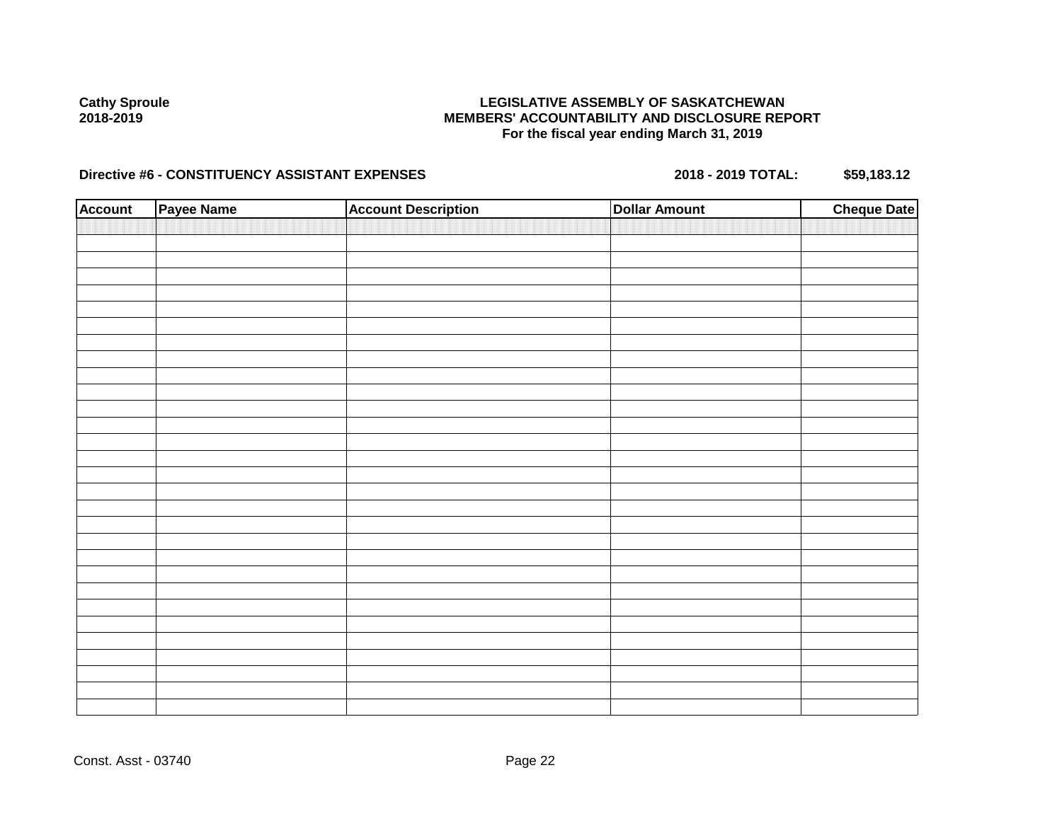## **LEGISLATIVE ASSEMBLY OF SASKATCHEWAN MEMBERS' ACCOUNTABILITY AND DISCLOSURE REPORT For the fiscal year ending March 31, 2019**

| <b>Account</b> | Payee Name | <b>Account Description</b> | <b>Dollar Amount</b> | <b>Cheque Date</b> |
|----------------|------------|----------------------------|----------------------|--------------------|
|                |            |                            |                      |                    |
|                |            |                            |                      |                    |
|                |            |                            |                      |                    |
|                |            |                            |                      |                    |
|                |            |                            |                      |                    |
|                |            |                            |                      |                    |
|                |            |                            |                      |                    |
|                |            |                            |                      |                    |
|                |            |                            |                      |                    |
|                |            |                            |                      |                    |
|                |            |                            |                      |                    |
|                |            |                            |                      |                    |
|                |            |                            |                      |                    |
|                |            |                            |                      |                    |
|                |            |                            |                      |                    |
|                |            |                            |                      |                    |
|                |            |                            |                      |                    |
|                |            |                            |                      |                    |
|                |            |                            |                      |                    |
|                |            |                            |                      |                    |
|                |            |                            |                      |                    |
|                |            |                            |                      |                    |
|                |            |                            |                      |                    |
|                |            |                            |                      |                    |
|                |            |                            |                      |                    |
|                |            |                            |                      |                    |
|                |            |                            |                      |                    |
|                |            |                            |                      |                    |
|                |            |                            |                      |                    |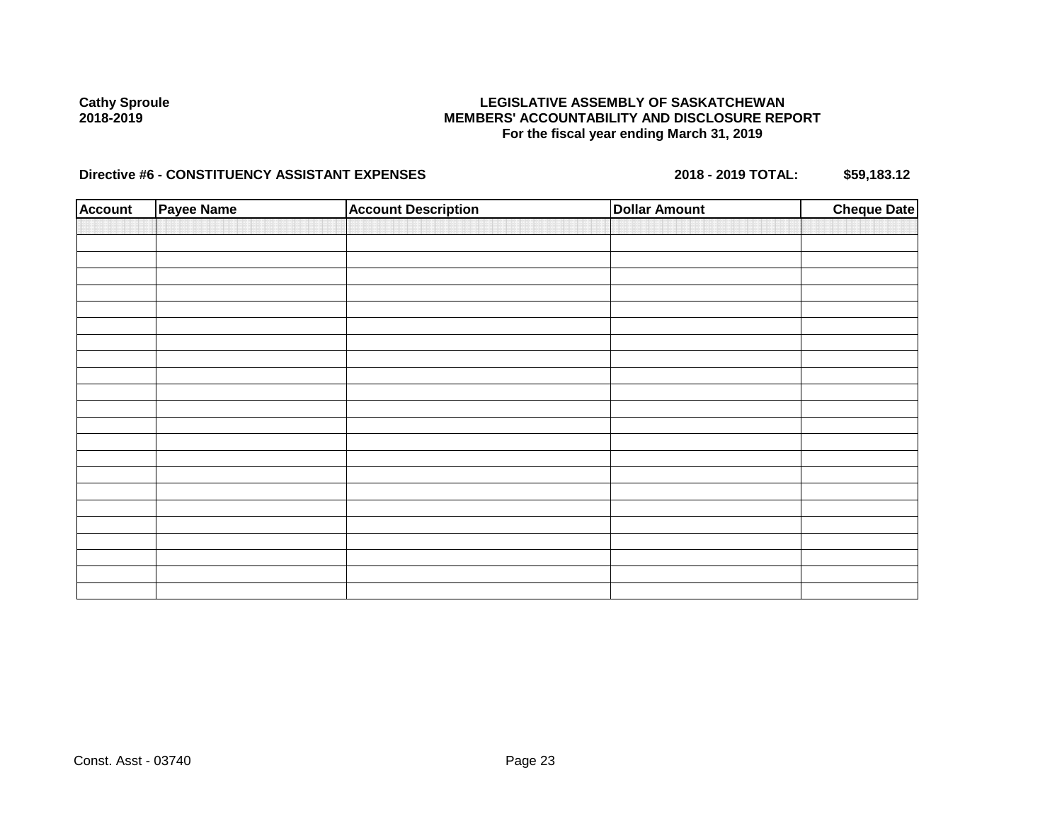## **LEGISLATIVE ASSEMBLY OF SASKATCHEWAN MEMBERS' ACCOUNTABILITY AND DISCLOSURE REPORT For the fiscal year ending March 31, 2019**

| <b>Account</b> | <b>Payee Name</b> | <b>Account Description</b> | <b>Dollar Amount</b> | <b>Cheque Date</b> |
|----------------|-------------------|----------------------------|----------------------|--------------------|
|                |                   |                            |                      |                    |
|                |                   |                            |                      |                    |
|                |                   |                            |                      |                    |
|                |                   |                            |                      |                    |
|                |                   |                            |                      |                    |
|                |                   |                            |                      |                    |
|                |                   |                            |                      |                    |
|                |                   |                            |                      |                    |
|                |                   |                            |                      |                    |
|                |                   |                            |                      |                    |
|                |                   |                            |                      |                    |
|                |                   |                            |                      |                    |
|                |                   |                            |                      |                    |
|                |                   |                            |                      |                    |
|                |                   |                            |                      |                    |
|                |                   |                            |                      |                    |
|                |                   |                            |                      |                    |
|                |                   |                            |                      |                    |
|                |                   |                            |                      |                    |
|                |                   |                            |                      |                    |
|                |                   |                            |                      |                    |
|                |                   |                            |                      |                    |